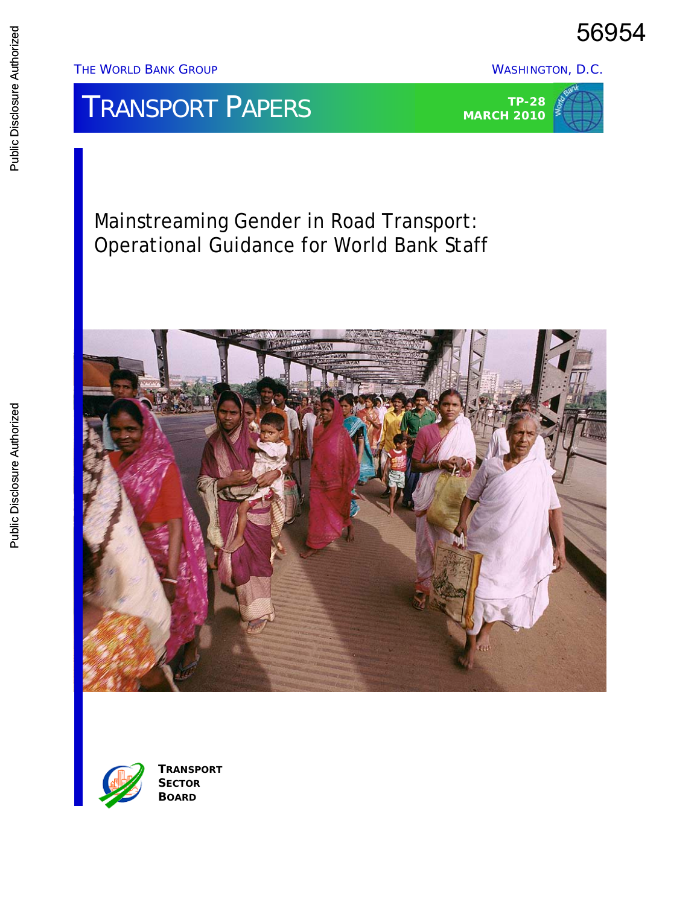56954

THE WORLD BANK GROUP WASHINGTON, D.C.

# **TRANSPORT PAPERS**



Mainstreaming Gender in Road Transport: Operational Guidance for World Bank Staff





**TRANSPORT SECTOR BOARD**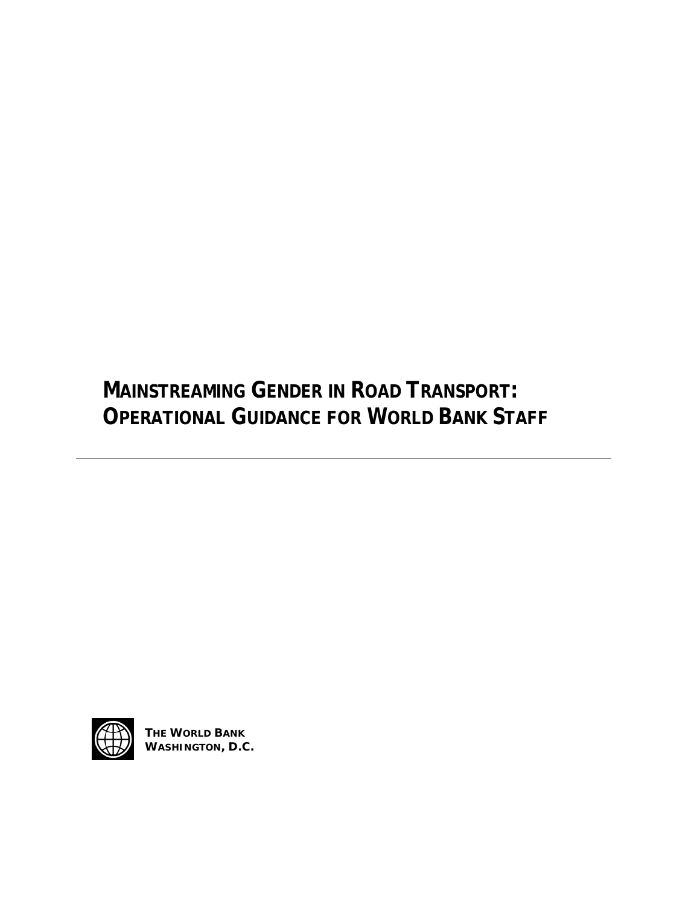**MAINSTREAMING GENDER IN ROAD TRANSPORT: OPERATIONAL GUIDANCE FOR WORLD BANK STAFF** 



**THE WORLD BANK WASHINGTON, D.C.**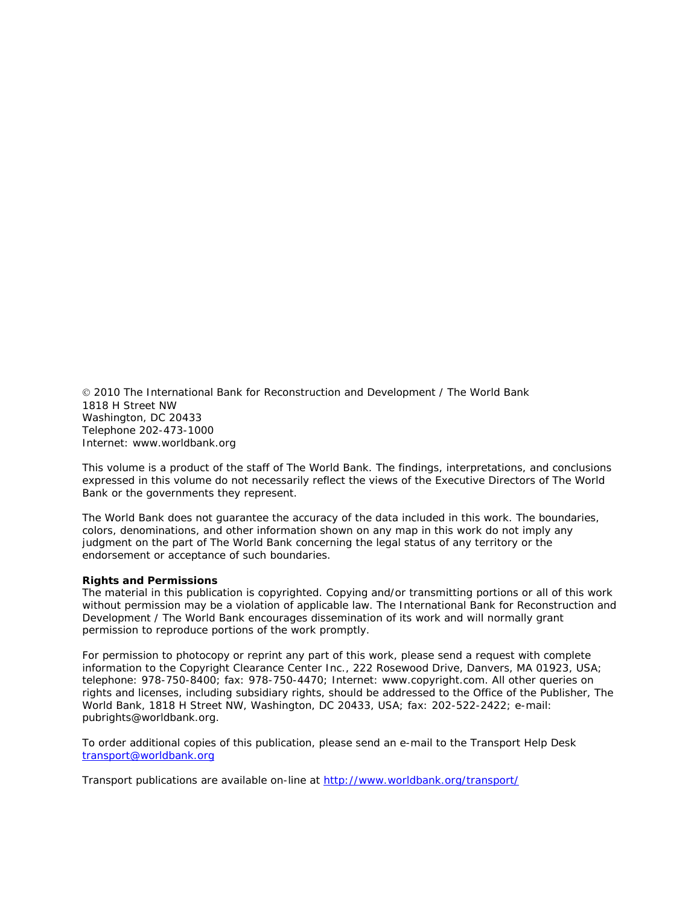2010 The International Bank for Reconstruction and Development / The World Bank 1818 H Street NW Washington, DC 20433 Telephone 202-473-1000 Internet: www.worldbank.org

This volume is a product of the staff of The World Bank. The findings, interpretations, and conclusions expressed in this volume do not necessarily reflect the views of the Executive Directors of The World Bank or the governments they represent.

The World Bank does not guarantee the accuracy of the data included in this work. The boundaries, colors, denominations, and other information shown on any map in this work do not imply any judgment on the part of The World Bank concerning the legal status of any territory or the endorsement or acceptance of such boundaries.

#### **Rights and Permissions**

The material in this publication is copyrighted. Copying and/or transmitting portions or all of this work without permission may be a violation of applicable law. The International Bank for Reconstruction and Development / The World Bank encourages dissemination of its work and will normally grant permission to reproduce portions of the work promptly.

For permission to photocopy or reprint any part of this work, please send a request with complete information to the Copyright Clearance Center Inc., 222 Rosewood Drive, Danvers, MA 01923, USA; telephone: 978-750-8400; fax: 978-750-4470; Internet: www.copyright.com. All other queries on rights and licenses, including subsidiary rights, should be addressed to the Office of the Publisher, The World Bank, 1818 H Street NW, Washington, DC 20433, USA; fax: 202-522-2422; e-mail: pubrights@worldbank.org.

To order additional copies of this publication, please send an e-mail to the Transport Help Desk [transport@worldbank.org](mailto:transport@worldbank.org)

Transport publications are available on-line at<http://www.worldbank.org/transport/>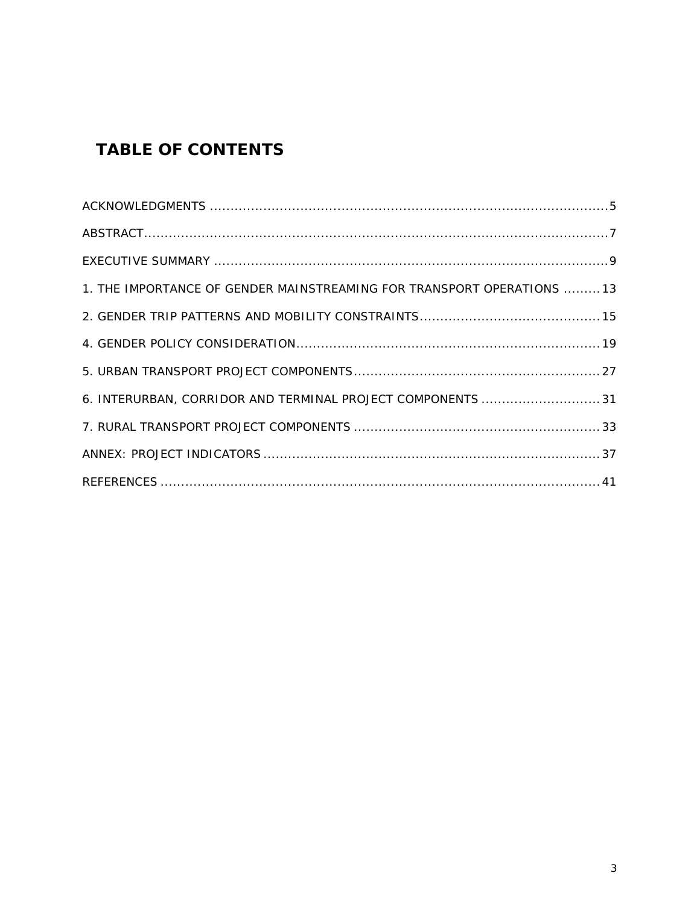# *TABLE OF CONTENTS*

| 1. THE IMPORTANCE OF GENDER MAINSTREAMING FOR TRANSPORT OPERATIONS  13 |  |
|------------------------------------------------------------------------|--|
|                                                                        |  |
|                                                                        |  |
|                                                                        |  |
| 6. INTERURBAN, CORRIDOR AND TERMINAL PROJECT COMPONENTS  31            |  |
|                                                                        |  |
|                                                                        |  |
|                                                                        |  |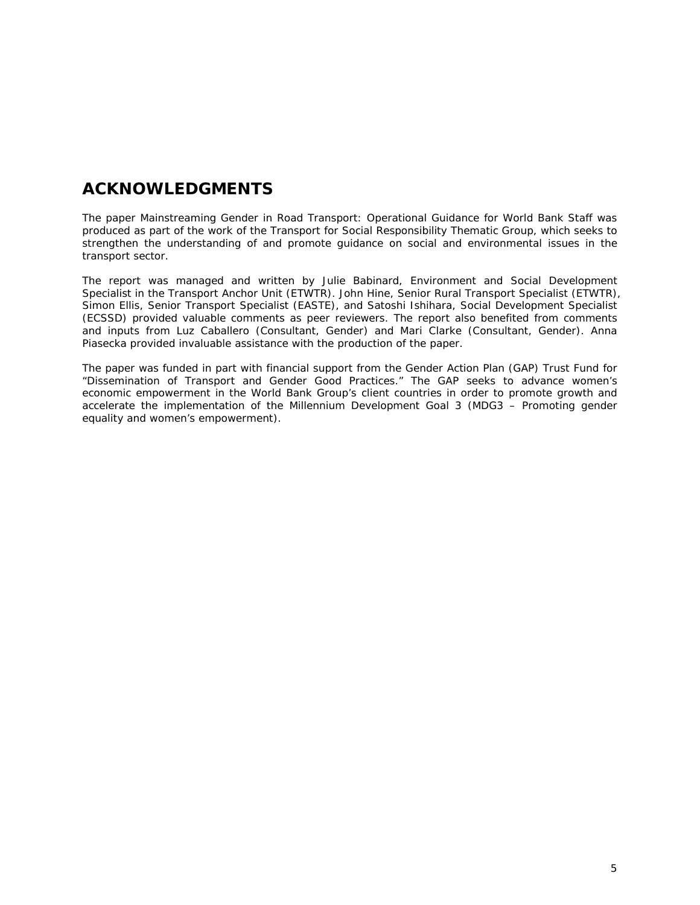## *ACKNOWLEDGMENTS*

The paper *Mainstreaming Gender in Road Transport: Operational Guidance for World Bank Staff* was produced as part of the work of the Transport for Social Responsibility Thematic Group, which seeks to strengthen the understanding of and promote guidance on social and environmental issues in the transport sector.

The report was managed and written by Julie Babinard, Environment and Social Development Specialist in the Transport Anchor Unit (ETWTR). John Hine, Senior Rural Transport Specialist (ETWTR), Simon Ellis, Senior Transport Specialist (EASTE), and Satoshi Ishihara, Social Development Specialist (ECSSD) provided valuable comments as peer reviewers. The report also benefited from comments and inputs from Luz Caballero (Consultant, Gender) and Mari Clarke (Consultant, Gender). Anna Piasecka provided invaluable assistance with the production of the paper.

The paper was funded in part with financial support from the Gender Action Plan (GAP) Trust Fund for "Dissemination of Transport and Gender Good Practices." The GAP seeks to advance women's economic empowerment in the World Bank Group's client countries in order to promote growth and accelerate the implementation of the Millennium Development Goal 3 (MDG3 – Promoting gender equality and women's empowerment).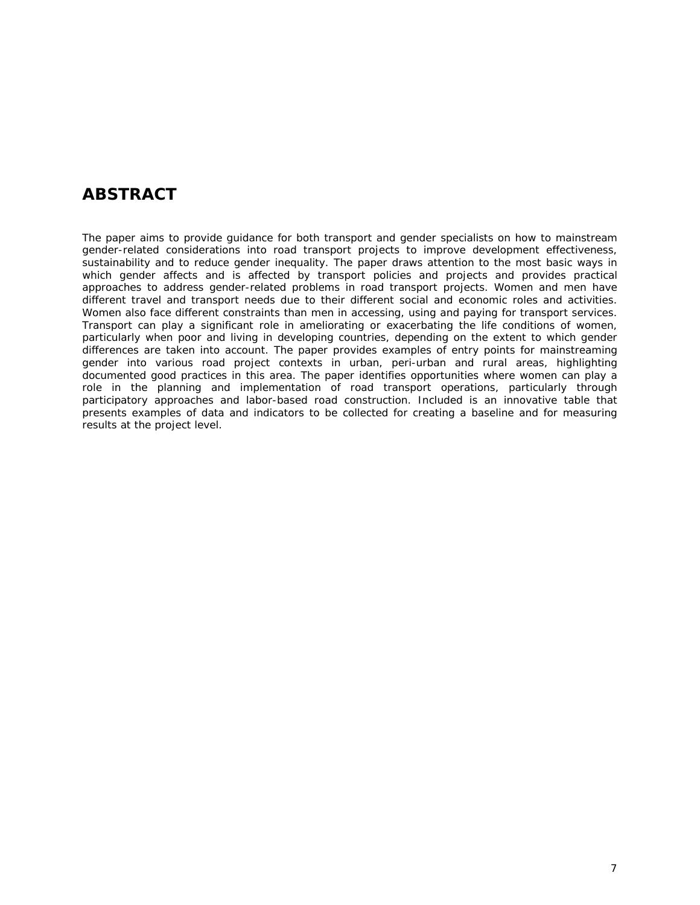## *ABSTRACT*

The paper aims to provide guidance for both transport and gender specialists on how to mainstream gender-related considerations into road transport projects to improve development effectiveness, sustainability and to reduce gender inequality. The paper draws attention to the most basic ways in which gender affects and is affected by transport policies and projects and provides practical approaches to address gender-related problems in road transport projects. Women and men have different travel and transport needs due to their different social and economic roles and activities. Women also face different constraints than men in accessing, using and paying for transport services. Transport can play a significant role in ameliorating or exacerbating the life conditions of women, particularly when poor and living in developing countries, depending on the extent to which gender differences are taken into account. The paper provides examples of entry points for mainstreaming gender into various road project contexts in urban, peri-urban and rural areas, highlighting documented good practices in this area. The paper identifies opportunities where women can play a role in the planning and implementation of road transport operations, particularly through participatory approaches and labor-based road construction. Included is an innovative table that presents examples of data and indicators to be collected for creating a baseline and for measuring results at the project level.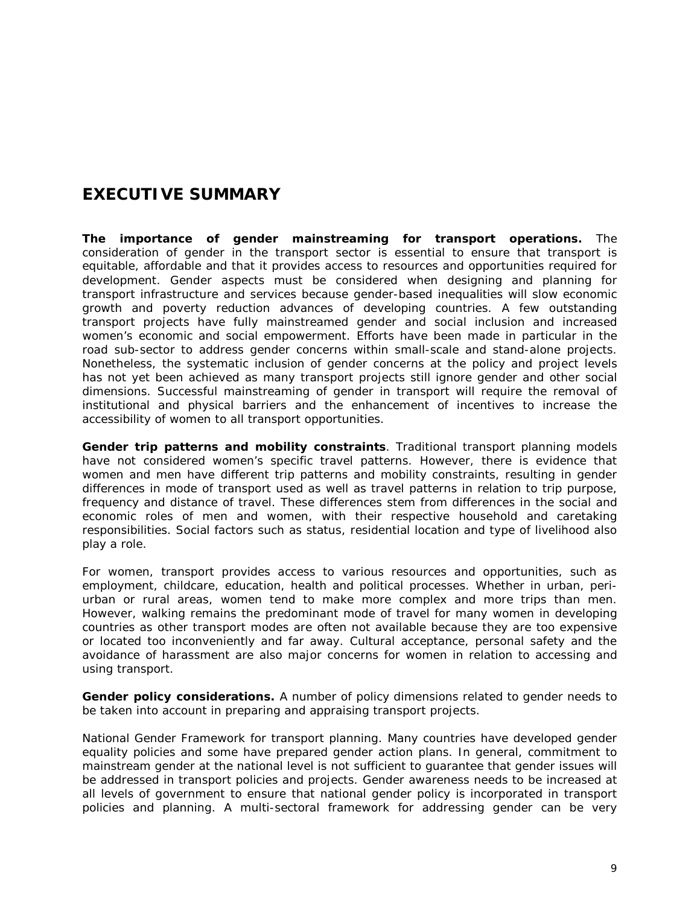# *EXECUTIVE SUMMARY*

**The importance of gender mainstreaming for transport operations.** The consideration of gender in the transport sector is essential to ensure that transport is equitable, affordable and that it provides access to resources and opportunities required for development. Gender aspects must be considered when designing and planning for transport infrastructure and services because gender-based inequalities will slow economic growth and poverty reduction advances of developing countries. A few outstanding transport projects have fully mainstreamed gender and social inclusion and increased women's economic and social empowerment. Efforts have been made in particular in the road sub-sector to address gender concerns within small-scale and stand-alone projects. Nonetheless, the systematic inclusion of gender concerns at the policy and project levels has not yet been achieved as many transport projects still ignore gender and other social dimensions. Successful mainstreaming of gender in transport will require the removal of institutional and physical barriers and the enhancement of incentives to increase the accessibility of women to all transport opportunities.

**Gender trip patterns and mobility constraints**. Traditional transport planning models have not considered women's specific travel patterns. However, there is evidence that women and men have different trip patterns and mobility constraints, resulting in gender differences in mode of transport used as well as travel patterns in relation to trip purpose, frequency and distance of travel. These differences stem from differences in the social and economic roles of men and women, with their respective household and caretaking responsibilities. Social factors such as status, residential location and type of livelihood also play a role.

For women, transport provides access to various resources and opportunities, such as employment, childcare, education, health and political processes. Whether in urban, periurban or rural areas, women tend to make more complex and more trips than men. However, walking remains the predominant mode of travel for many women in developing countries as other transport modes are often not available because they are too expensive or located too inconveniently and far away. Cultural acceptance, personal safety and the avoidance of harassment are also major concerns for women in relation to accessing and using transport.

**Gender policy considerations.** A number of policy dimensions related to gender needs to be taken into account in preparing and appraising transport projects.

*National Gender Framework for transport planning*. Many countries have developed gender equality policies and some have prepared gender action plans. In general, commitment to mainstream gender at the national level is not sufficient to guarantee that gender issues will be addressed in transport policies and projects. Gender awareness needs to be increased at all levels of government to ensure that national gender policy is incorporated in transport policies and planning. A multi-sectoral framework for addressing gender can be very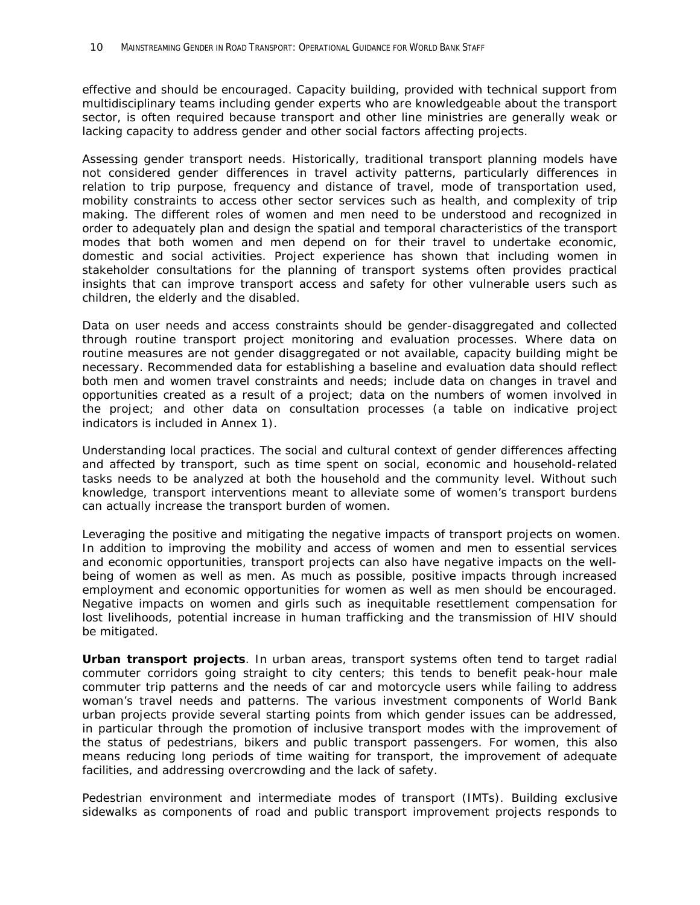effective and should be encouraged. Capacity building, provided with technical support from multidisciplinary teams including gender experts who are knowledgeable about the transport sector, is often required because transport and other line ministries are generally weak or lacking capacity to address gender and other social factors affecting projects.

*Assessing gender transport needs*. Historically, traditional transport planning models have not considered gender differences in travel activity patterns, particularly differences in relation to trip purpose, frequency and distance of travel, mode of transportation used, mobility constraints to access other sector services such as health, and complexity of trip making. The different roles of women and men need to be understood and recognized in order to adequately plan and design the spatial and temporal characteristics of the transport modes that both women and men depend on for their travel to undertake economic, domestic and social activities. Project experience has shown that including women in stakeholder consultations for the planning of transport systems often provides practical insights that can improve transport access and safety for other vulnerable users such as children, the elderly and the disabled.

Data on user needs and access constraints should be gender-disaggregated and collected through routine transport project monitoring and evaluation processes. Where data on routine measures are not gender disaggregated or not available, capacity building might be necessary. Recommended data for establishing a baseline and evaluation data should reflect both men and women travel constraints and needs; include data on changes in travel and opportunities created as a result of a project; data on the numbers of women involved in the project; and other data on consultation processes (a table on indicative project indicators is included in Annex 1).

*Understanding local practices*. The social and cultural context of gender differences affecting and affected by transport, such as time spent on social, economic and household-related tasks needs to be analyzed at both the household and the community level. Without such knowledge, transport interventions meant to alleviate some of women's transport burdens can actually increase the transport burden of women.

*Leveraging the positive and mitigating the negative impacts of transport projects on women.* In addition to improving the mobility and access of women and men to essential services and economic opportunities, transport projects can also have negative impacts on the wellbeing of women as well as men. As much as possible, positive impacts through increased employment and economic opportunities for women as well as men should be encouraged. Negative impacts on women and girls such as inequitable resettlement compensation for lost livelihoods, potential increase in human trafficking and the transmission of HIV should be mitigated.

**Urban transport projects**. In urban areas, transport systems often tend to target radial commuter corridors going straight to city centers; this tends to benefit peak-hour male commuter trip patterns and the needs of car and motorcycle users while failing to address woman's travel needs and patterns. The various investment components of World Bank urban projects provide several starting points from which gender issues can be addressed, in particular through the promotion of inclusive transport modes with the improvement of the status of pedestrians, bikers and public transport passengers. For women, this also means reducing long periods of time waiting for transport, the improvement of adequate facilities, and addressing overcrowding and the lack of safety.

*Pedestrian environment and intermediate modes of transport (IMTs)*. Building exclusive sidewalks as components of road and public transport improvement projects responds to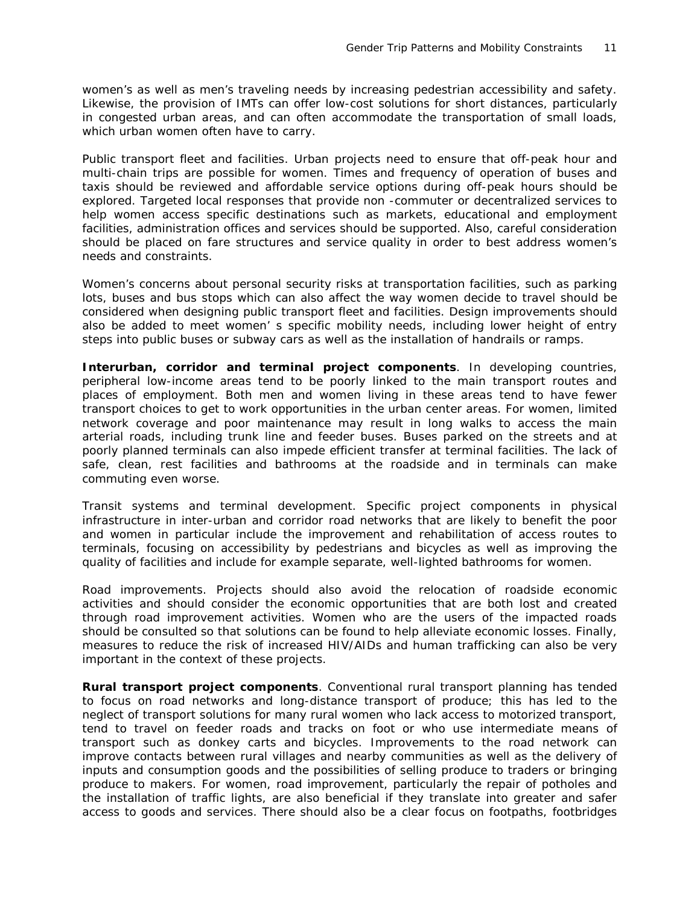women's as well as men's traveling needs by increasing pedestrian accessibility and safety. Likewise, the provision of IMTs can offer low-cost solutions for short distances, particularly in congested urban areas, and can often accommodate the transportation of small loads, which urban women often have to carry.

*Public transport fleet and facilities*. Urban projects need to ensure that off-peak hour and multi-chain trips are possible for women. Times and frequency of operation of buses and taxis should be reviewed and affordable service options during off-peak hours should be explored. Targeted local responses that provide non -commuter or decentralized services to help women access specific destinations such as markets, educational and employment facilities, administration offices and services should be supported. Also, careful consideration should be placed on fare structures and service quality in order to best address women's needs and constraints.

Women's concerns about personal security risks at transportation facilities, such as parking lots, buses and bus stops which can also affect the way women decide to travel should be considered when designing public transport fleet and facilities. Design improvements should also be added to meet women' s specific mobility needs, including lower height of entry steps into public buses or subway cars as well as the installation of handrails or ramps.

**Interurban, corridor and terminal project components**. In developing countries, peripheral low-income areas tend to be poorly linked to the main transport routes and places of employment. Both men and women living in these areas tend to have fewer transport choices to get to work opportunities in the urban center areas. For women, limited network coverage and poor maintenance may result in long walks to access the main arterial roads, including trunk line and feeder buses. Buses parked on the streets and at poorly planned terminals can also impede efficient transfer at terminal facilities. The lack of safe, clean, rest facilities and bathrooms at the roadside and in terminals can make commuting even worse.

*Transit systems and terminal development*. Specific project components in physical infrastructure in inter-urban and corridor road networks that are likely to benefit the poor and women in particular include the improvement and rehabilitation of access routes to terminals, focusing on accessibility by pedestrians and bicycles as well as improving the quality of facilities and include for example separate, well-lighted bathrooms for women.

*Road improvements*. Projects should also avoid the relocation of roadside economic activities and should consider the economic opportunities that are both lost and created through road improvement activities. Women who are the users of the impacted roads should be consulted so that solutions can be found to help alleviate economic losses. Finally, measures to reduce the risk of increased HIV/AIDs and human trafficking can also be very important in the context of these projects.

**Rural transport project components**. Conventional rural transport planning has tended to focus on road networks and long-distance transport of produce; this has led to the neglect of transport solutions for many rural women who lack access to motorized transport, tend to travel on feeder roads and tracks on foot or who use intermediate means of transport such as donkey carts and bicycles. Improvements to the road network can improve contacts between rural villages and nearby communities as well as the delivery of inputs and consumption goods and the possibilities of selling produce to traders or bringing produce to makers. For women, road improvement, particularly the repair of potholes and the installation of traffic lights, are also beneficial if they translate into greater and safer access to goods and services. There should also be a clear focus on footpaths, footbridges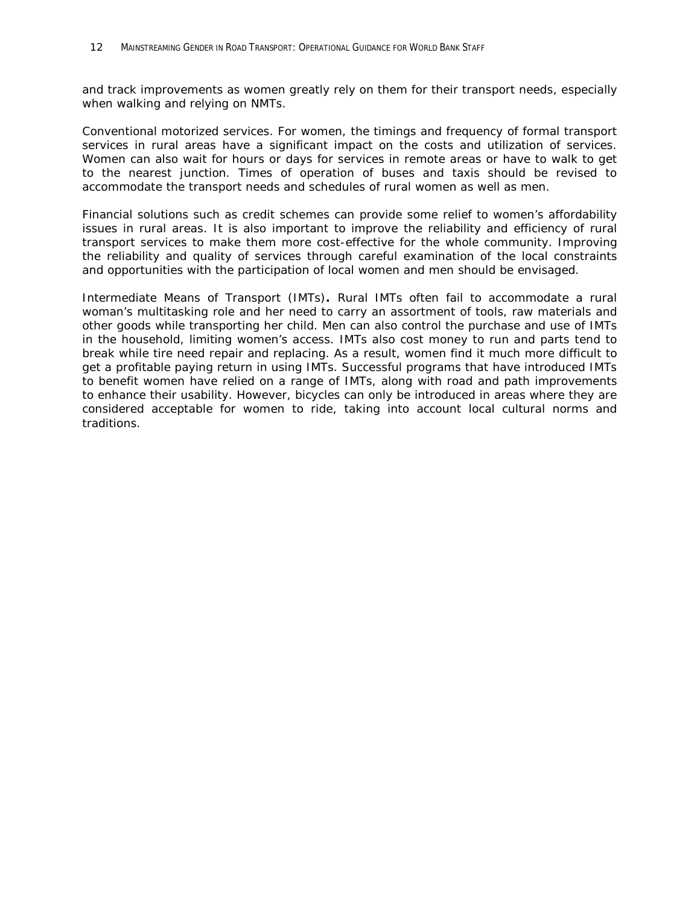and track improvements as women greatly rely on them for their transport needs, especially when walking and relying on NMTs.

*Conventional motorized services*. For women, the timings and frequency of formal transport services in rural areas have a significant impact on the costs and utilization of services. Women can also wait for hours or days for services in remote areas or have to walk to get to the nearest junction. Times of operation of buses and taxis should be revised to accommodate the transport needs and schedules of rural women as well as men.

Financial solutions such as credit schemes can provide some relief to women's affordability issues in rural areas. It is also important to improve the reliability and efficiency of rural transport services to make them more cost-effective for the whole community. Improving the reliability and quality of services through careful examination of the local constraints and opportunities with the participation of local women and men should be envisaged.

*Intermediate Means of Transport (IMTs)***.** Rural IMTs often fail to accommodate a rural woman's multitasking role and her need to carry an assortment of tools, raw materials and other goods while transporting her child. Men can also control the purchase and use of IMTs in the household, limiting women's access. IMTs also cost money to run and parts tend to break while tire need repair and replacing. As a result, women find it much more difficult to get a profitable paying return in using IMTs. Successful programs that have introduced IMTs to benefit women have relied on a range of IMTs, along with road and path improvements to enhance their usability. However, bicycles can only be introduced in areas where they are considered acceptable for women to ride, taking into account local cultural norms and traditions.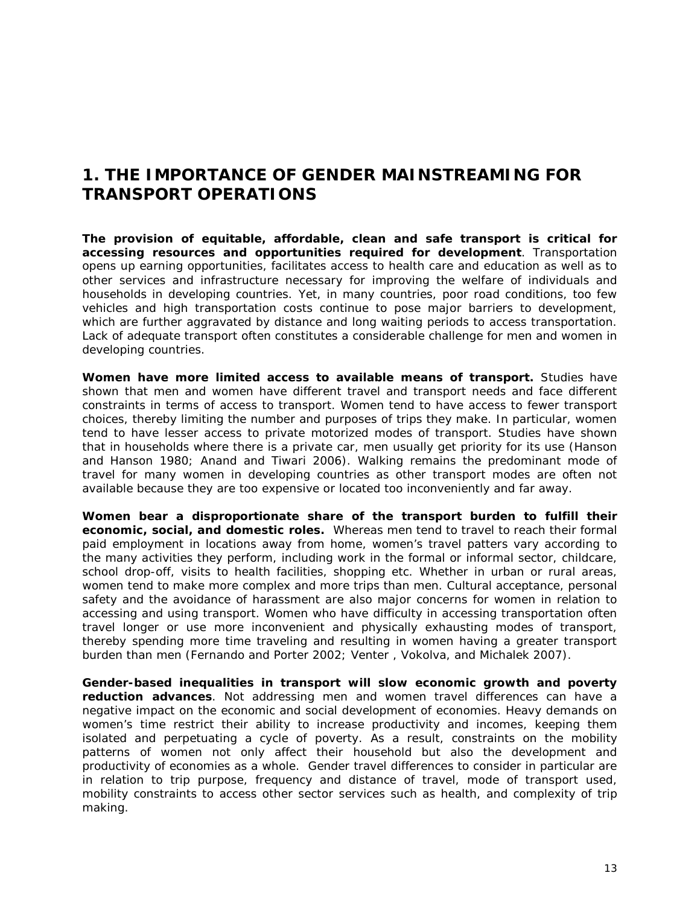### *1. THE IMPORTANCE OF GENDER MAINSTREAMING FOR TRANSPORT OPERATIONS*

**The provision of equitable, affordable, clean and safe transport is critical for accessing resources and opportunities required for development**. Transportation opens up earning opportunities, facilitates access to health care and education as well as to other services and infrastructure necessary for improving the welfare of individuals and households in developing countries. Yet, in many countries, poor road conditions, too few vehicles and high transportation costs continue to pose major barriers to development, which are further aggravated by distance and long waiting periods to access transportation. Lack of adequate transport often constitutes a considerable challenge for men and women in developing countries.

**Women have more limited access to available means of transport.** Studies have shown that men and women have different travel and transport needs and face different constraints in terms of access to transport. Women tend to have access to fewer transport choices, thereby limiting the number and purposes of trips they make. In particular, women tend to have lesser access to private motorized modes of transport. Studies have shown that in households where there is a private car, men usually get priority for its use (Hanson and Hanson 1980; Anand and Tiwari 2006). Walking remains the predominant mode of travel for many women in developing countries as other transport modes are often not available because they are too expensive or located too inconveniently and far away.

**Women bear a disproportionate share of the transport burden to fulfill their economic, social, and domestic roles.** Whereas men tend to travel to reach their formal paid employment in locations away from home, women's travel patters vary according to the many activities they perform, including work in the formal or informal sector, childcare, school drop-off, visits to health facilities, shopping etc. Whether in urban or rural areas, women tend to make more complex and more trips than men. Cultural acceptance, personal safety and the avoidance of harassment are also major concerns for women in relation to accessing and using transport. Women who have difficulty in accessing transportation often travel longer or use more inconvenient and physically exhausting modes of transport, thereby spending more time traveling and resulting in women having a greater transport burden than men (Fernando and Porter 2002; Venter , Vokolva, and Michalek 2007).

**Gender-based inequalities in transport will slow economic growth and poverty reduction advances**. Not addressing men and women travel differences can have a negative impact on the economic and social development of economies. Heavy demands on women's time restrict their ability to increase productivity and incomes, keeping them isolated and perpetuating a cycle of poverty. As a result, constraints on the mobility patterns of women not only affect their household but also the development and productivity of economies as a whole. Gender travel differences to consider in particular are in relation to trip purpose, frequency and distance of travel, mode of transport used, mobility constraints to access other sector services such as health, and complexity of trip making.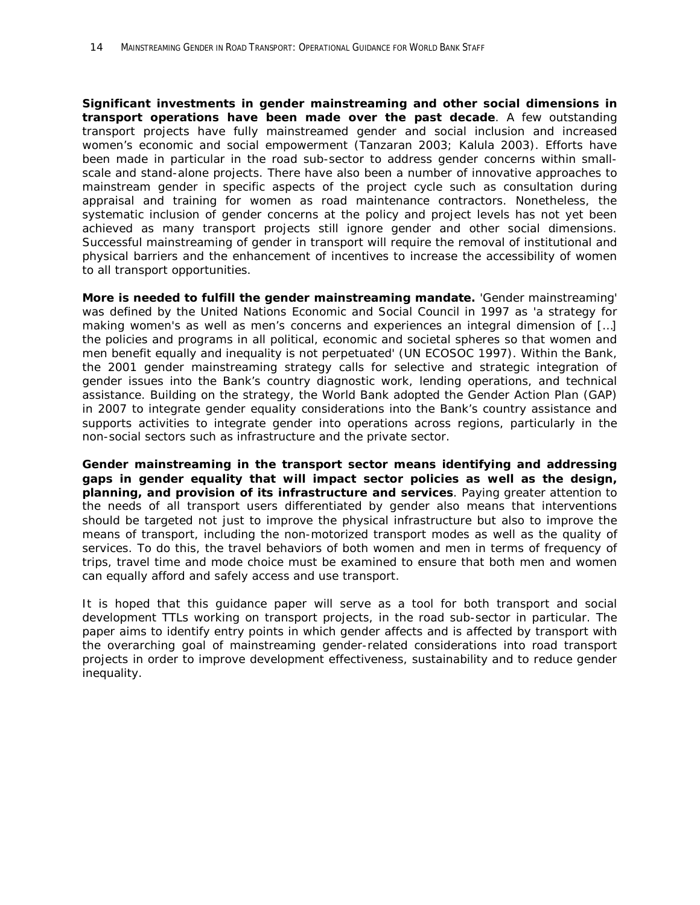**Significant investments in gender mainstreaming and other social dimensions in transport operations have been made over the past decade**. A few outstanding transport projects have fully mainstreamed gender and social inclusion and increased women's economic and social empowerment (Tanzaran 2003; Kalula 2003). Efforts have been made in particular in the road sub-sector to address gender concerns within smallscale and stand-alone projects. There have also been a number of innovative approaches to mainstream gender in specific aspects of the project cycle such as consultation during appraisal and training for women as road maintenance contractors. Nonetheless, the systematic inclusion of gender concerns at the policy and project levels has not yet been achieved as many transport projects still ignore gender and other social dimensions. Successful mainstreaming of gender in transport will require the removal of institutional and physical barriers and the enhancement of incentives to increase the accessibility of women to all transport opportunities.

**More is needed to fulfill the gender mainstreaming mandate.** 'Gender mainstreaming' was defined by the United Nations Economic and Social Council in 1997 as 'a strategy for making women's as well as men's concerns and experiences an integral dimension of […] the policies and programs in all political, economic and societal spheres so that women and men benefit equally and inequality is not perpetuated' (UN ECOSOC 1997). Within the Bank, the 2001 gender mainstreaming strategy calls for selective and strategic integration of gender issues into the Bank's country diagnostic work, lending operations, and technical assistance. Building on the strategy, the World Bank adopted the Gender Action Plan (GAP) in 2007 to integrate gender equality considerations into the Bank's country assistance and supports activities to integrate gender into operations across regions, particularly in the non-social sectors such as infrastructure and the private sector.

**Gender mainstreaming in the transport sector means identifying and addressing gaps in gender equality that will impact sector policies as well as the design, planning, and provision of its infrastructure and services**. Paying greater attention to the needs of all transport users differentiated by gender also means that interventions should be targeted not just to improve the physical infrastructure but also to improve the means of transport, including the non-motorized transport modes as well as the quality of services. To do this, the travel behaviors of both women and men in terms of frequency of trips, travel time and mode choice must be examined to ensure that both men and women can equally afford and safely access and use transport.

It is hoped that this guidance paper will serve as a tool for both transport and social development TTLs working on transport projects, in the road sub-sector in particular. The paper aims to identify entry points in which gender affects and is affected by transport with the overarching goal of mainstreaming gender-related considerations into road transport projects in order to improve development effectiveness, sustainability and to reduce gender inequality.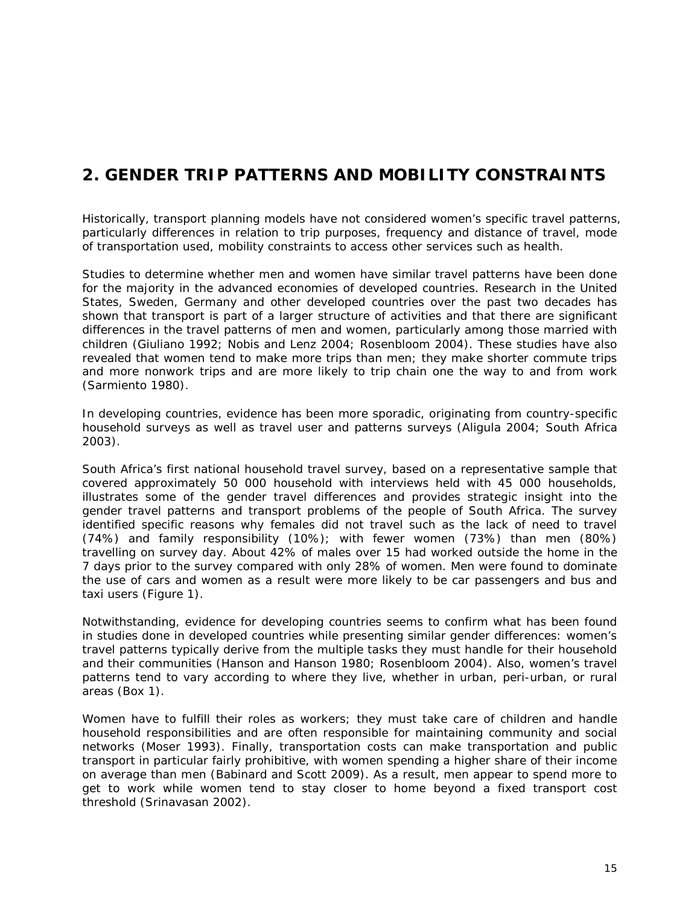# *2. GENDER TRIP PATTERNS AND MOBILITY CONSTRAINTS*

Historically, transport planning models have not considered women's specific travel patterns, particularly differences in relation to trip purposes, frequency and distance of travel, mode of transportation used, mobility constraints to access other services such as health.

Studies to determine whether men and women have similar travel patterns have been done for the majority in the advanced economies of developed countries. Research in the United States, Sweden, Germany and other developed countries over the past two decades has shown that transport is part of a larger structure of activities and that there are significant differences in the travel patterns of men and women, particularly among those married with children (Giuliano 1992; Nobis and Lenz 2004; Rosenbloom 2004). These studies have also revealed that women tend to make more trips than men; they make shorter commute trips and more nonwork trips and are more likely to trip chain one the way to and from work (Sarmiento 1980).

In developing countries, evidence has been more sporadic, originating from country-specific household surveys as well as travel user and patterns surveys (Aligula 2004; South Africa 2003).

South Africa's first national household travel survey, based on a representative sample that covered approximately 50 000 household with interviews held with 45 000 households, illustrates some of the gender travel differences and provides strategic insight into the gender travel patterns and transport problems of the people of South Africa. The survey identified specific reasons why females did not travel such as the lack of need to travel (74%) and family responsibility (10%); with fewer women (73%) than men (80%) travelling on survey day. About 42% of males over 15 had worked outside the home in the 7 days prior to the survey compared with only 28% of women. Men were found to dominate the use of cars and women as a result were more likely to be car passengers and bus and taxi users (Figure 1).

Notwithstanding, evidence for developing countries seems to confirm what has been found in studies done in developed countries while presenting similar gender differences: women's travel patterns typically derive from the multiple tasks they must handle for their household and their communities (Hanson and Hanson 1980; Rosenbloom 2004). Also, women's travel patterns tend to vary according to where they live, whether in urban, peri-urban, or rural areas (Box 1).

Women have to fulfill their roles as workers; they must take care of children and handle household responsibilities and are often responsible for maintaining community and social networks (Moser 1993). Finally, transportation costs can make transportation and public transport in particular fairly prohibitive, with women spending a higher share of their income on average than men (Babinard and Scott 2009). As a result, men appear to spend more to get to work while women tend to stay closer to home beyond a fixed transport cost threshold (Srinavasan 2002).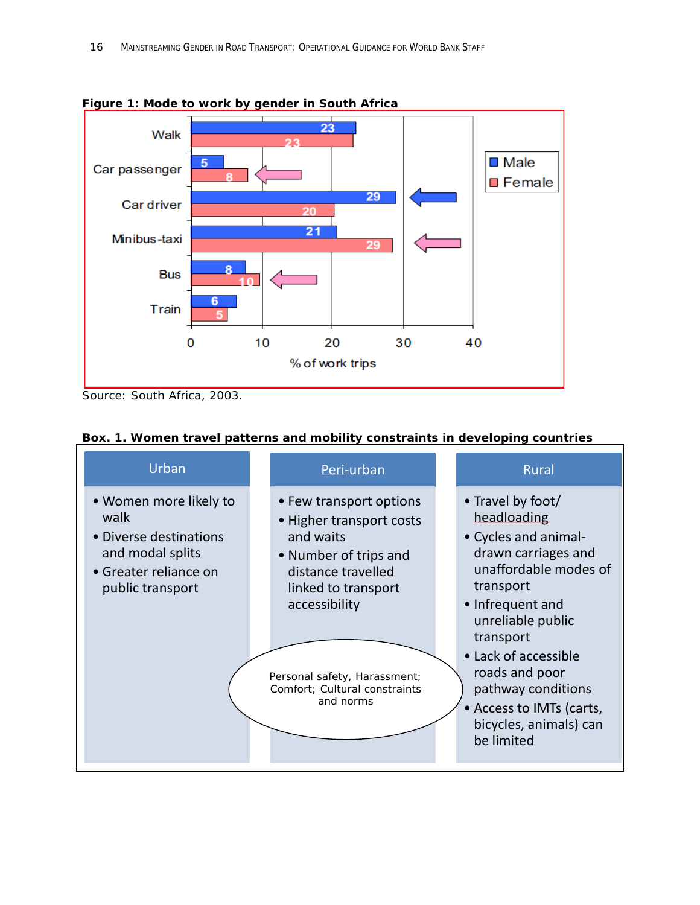

**Figure 1: Mode to work by gender in South Africa**

*Source: South Africa, 2003.*

| Box. 1. Women travel patterns and mobility constraints in developing countries |
|--------------------------------------------------------------------------------|
|--------------------------------------------------------------------------------|

| Urban                                                                                                                     | Peri-urban                                                                                                                                                                                                                            | <b>Rural</b>                                                                                                                                                                                                                                                                                                    |
|---------------------------------------------------------------------------------------------------------------------------|---------------------------------------------------------------------------------------------------------------------------------------------------------------------------------------------------------------------------------------|-----------------------------------------------------------------------------------------------------------------------------------------------------------------------------------------------------------------------------------------------------------------------------------------------------------------|
| • Women more likely to<br>walk<br>• Diverse destinations<br>and modal splits<br>• Greater reliance on<br>public transport | • Few transport options<br>• Higher transport costs<br>and waits<br>• Number of trips and<br>distance travelled<br>linked to transport<br>accessibility<br>Personal safety, Harassment;<br>Comfort; Cultural constraints<br>and norms | • Travel by foot/<br>headloading<br>• Cycles and animal-<br>drawn carriages and<br>unaffordable modes of<br>transport<br>• Infrequent and<br>unreliable public<br>transport<br>• Lack of accessible<br>roads and poor<br>pathway conditions<br>• Access to IMTs (carts,<br>bicycles, animals) can<br>be limited |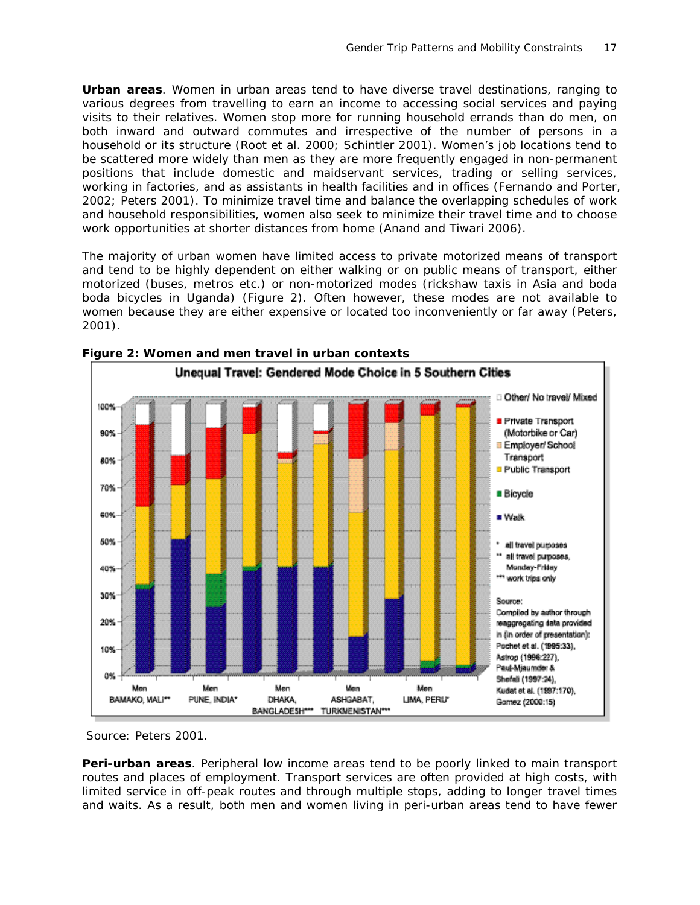**Urban areas**. Women in urban areas tend to have diverse travel destinations, ranging to various degrees from travelling to earn an income to accessing social services and paying visits to their relatives. Women stop more for running household errands than do men, on both inward and outward commutes and irrespective of the number of persons in a household or its structure (Root et al. 2000; Schintler 2001). Women's job locations tend to be scattered more widely than men as they are more frequently engaged in non-permanent positions that include domestic and maidservant services, trading or selling services, working in factories, and as assistants in health facilities and in offices (Fernando and Porter, 2002; Peters 2001). To minimize travel time and balance the overlapping schedules of work and household responsibilities, women also seek to minimize their travel time and to choose work opportunities at shorter distances from home (Anand and Tiwari 2006).

The majority of urban women have limited access to private motorized means of transport and tend to be highly dependent on either walking or on public means of transport, either motorized (buses, metros etc.) or non-motorized modes (rickshaw taxis in Asia and boda boda bicycles in Uganda) (Figure 2). Often however, these modes are not available to women because they are either expensive or located too inconveniently or far away (Peters, 2001).



**Figure 2: Women and men travel in urban contexts**

*Source: Peters 2001.*

**Peri-urban areas**. Peripheral low income areas tend to be poorly linked to main transport routes and places of employment. Transport services are often provided at high costs, with limited service in off-peak routes and through multiple stops, adding to longer travel times and waits. As a result, both men and women living in peri-urban areas tend to have fewer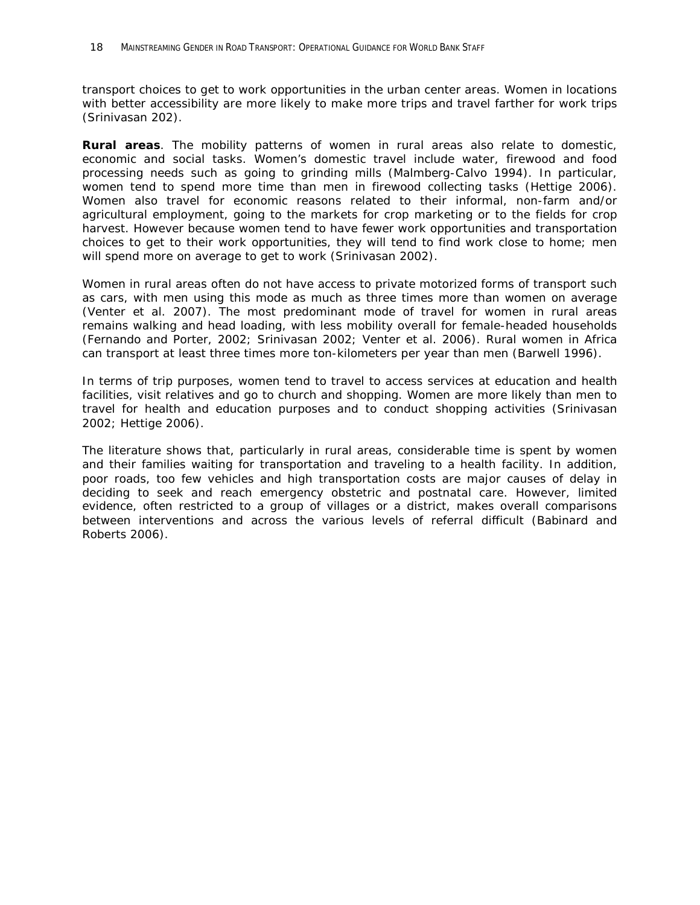transport choices to get to work opportunities in the urban center areas. Women in locations with better accessibility are more likely to make more trips and travel farther for work trips (Srinivasan 202).

**Rural areas**. The mobility patterns of women in rural areas also relate to domestic, economic and social tasks. Women's domestic travel include water, firewood and food processing needs such as going to grinding mills (Malmberg-Calvo 1994). In particular, women tend to spend more time than men in firewood collecting tasks (Hettige 2006). Women also travel for economic reasons related to their informal, non-farm and/or agricultural employment, going to the markets for crop marketing or to the fields for crop harvest. However because women tend to have fewer work opportunities and transportation choices to get to their work opportunities, they will tend to find work close to home; men will spend more on average to get to work (Srinivasan 2002).

Women in rural areas often do not have access to private motorized forms of transport such as cars, with men using this mode as much as three times more than women on average (Venter et al. 2007). The most predominant mode of travel for women in rural areas remains walking and head loading, with less mobility overall for female-headed households (Fernando and Porter, 2002; Srinivasan 2002; Venter et al. 2006). Rural women in Africa can transport at least three times more ton-kilometers per year than men (Barwell 1996).

In terms of trip purposes, women tend to travel to access services at education and health facilities, visit relatives and go to church and shopping. Women are more likely than men to travel for health and education purposes and to conduct shopping activities (Srinivasan 2002; Hettige 2006).

The literature shows that, particularly in rural areas, considerable time is spent by women and their families waiting for transportation and traveling to a health facility. In addition, poor roads, too few vehicles and high transportation costs are major causes of delay in deciding to seek and reach emergency obstetric and postnatal care. However, limited evidence, often restricted to a group of villages or a district, makes overall comparisons between interventions and across the various levels of referral difficult (Babinard and Roberts 2006).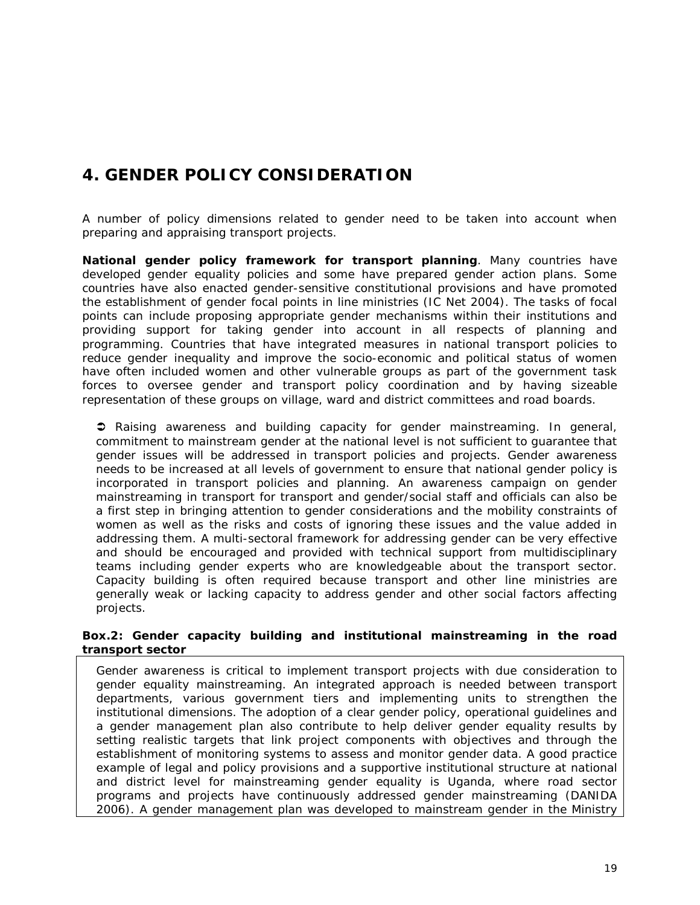# *4. GENDER POLICY CONSIDERATION*

A number of policy dimensions related to gender need to be taken into account when preparing and appraising transport projects.

**National gender policy framework for transport planning**. Many countries have developed gender equality policies and some have prepared gender action plans. Some countries have also enacted gender-sensitive constitutional provisions and have promoted the establishment of gender focal points in line ministries (IC Net 2004). The tasks of focal points can include proposing appropriate gender mechanisms within their institutions and providing support for taking gender into account in all respects of planning and programming. Countries that have integrated measures in national transport policies to reduce gender inequality and improve the socio-economic and political status of women have often included women and other vulnerable groups as part of the government task forces to oversee gender and transport policy coordination and by having sizeable representation of these groups on village, ward and district committees and road boards.

 *Raising awareness and building capacity for gender mainstreaming*. In general, commitment to mainstream gender at the national level is not sufficient to guarantee that gender issues will be addressed in transport policies and projects. Gender awareness needs to be increased at all levels of government to ensure that national gender policy is incorporated in transport policies and planning. An awareness campaign on gender mainstreaming in transport for transport and gender/social staff and officials can also be a first step in bringing attention to gender considerations and the mobility constraints of women as well as the risks and costs of ignoring these issues and the value added in addressing them. A multi-sectoral framework for addressing gender can be very effective and should be encouraged and provided with technical support from multidisciplinary teams including gender experts who are knowledgeable about the transport sector. Capacity building is often required because transport and other line ministries are generally weak or lacking capacity to address gender and other social factors affecting projects.

#### **Box.2: Gender capacity building and institutional mainstreaming in the road transport sector**

Gender awareness is critical to implement transport projects with due consideration to gender equality mainstreaming. An integrated approach is needed between transport departments, various government tiers and implementing units to strengthen the institutional dimensions. The adoption of a clear gender policy, operational guidelines and a gender management plan also contribute to help deliver gender equality results by setting realistic targets that link project components with objectives and through the establishment of monitoring systems to assess and monitor gender data. A good practice example of legal and policy provisions and a supportive institutional structure at national and district level for mainstreaming gender equality is Uganda, where road sector programs and projects have continuously addressed gender mainstreaming (DANIDA 2006). A gender management plan was developed to mainstream gender in the Ministry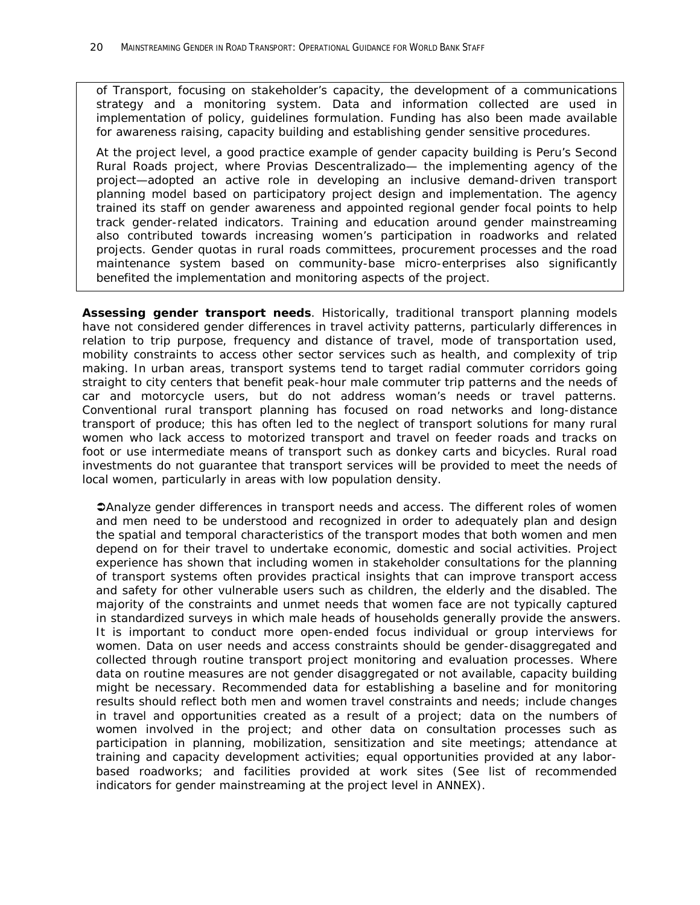of Transport, focusing on stakeholder's capacity, the development of a communications strategy and a monitoring system. Data and information collected are used in implementation of policy, guidelines formulation. Funding has also been made available for awareness raising, capacity building and establishing gender sensitive procedures.

At the project level, a good practice example of gender capacity building is Peru's Second Rural Roads project, where Provias Descentralizado— the implementing agency of the project—adopted an active role in developing an inclusive demand-driven transport planning model based on participatory project design and implementation. The agency trained its staff on gender awareness and appointed regional gender focal points to help track gender-related indicators. Training and education around gender mainstreaming also contributed towards increasing women's participation in roadworks and related projects. Gender quotas in rural roads committees, procurement processes and the road maintenance system based on community-base micro-enterprises also significantly benefited the implementation and monitoring aspects of the project.

**Assessing gender transport needs**. Historically, traditional transport planning models have not considered gender differences in travel activity patterns, particularly differences in relation to trip purpose, frequency and distance of travel, mode of transportation used, mobility constraints to access other sector services such as health, and complexity of trip making. In urban areas, transport systems tend to target radial commuter corridors going straight to city centers that benefit peak-hour male commuter trip patterns and the needs of car and motorcycle users, but do not address woman's needs or travel patterns. Conventional rural transport planning has focused on road networks and long-distance transport of produce; this has often led to the neglect of transport solutions for many rural women who lack access to motorized transport and travel on feeder roads and tracks on foot or use intermediate means of transport such as donkey carts and bicycles. Rural road investments do not guarantee that transport services will be provided to meet the needs of local women, particularly in areas with low population density.

*Analyze gender differences in transport needs and access*. The different roles of women and men need to be understood and recognized in order to adequately plan and design the spatial and temporal characteristics of the transport modes that both women and men depend on for their travel to undertake economic, domestic and social activities. Project experience has shown that including women in stakeholder consultations for the planning of transport systems often provides practical insights that can improve transport access and safety for other vulnerable users such as children, the elderly and the disabled. The majority of the constraints and unmet needs that women face are not typically captured in standardized surveys in which male heads of households generally provide the answers. It is important to conduct more open-ended focus individual or group interviews for women. Data on user needs and access constraints should be gender-disaggregated and collected through routine transport project monitoring and evaluation processes. Where data on routine measures are not gender disaggregated or not available, capacity building might be necessary. Recommended data for establishing a baseline and for monitoring results should reflect both men and women travel constraints and needs; include changes in travel and opportunities created as a result of a project; data on the numbers of women involved in the project; and other data on consultation processes such as participation in planning, mobilization, sensitization and site meetings; attendance at training and capacity development activities; equal opportunities provided at any laborbased roadworks; and facilities provided at work sites (See list of recommended indicators for gender mainstreaming at the project level in ANNEX).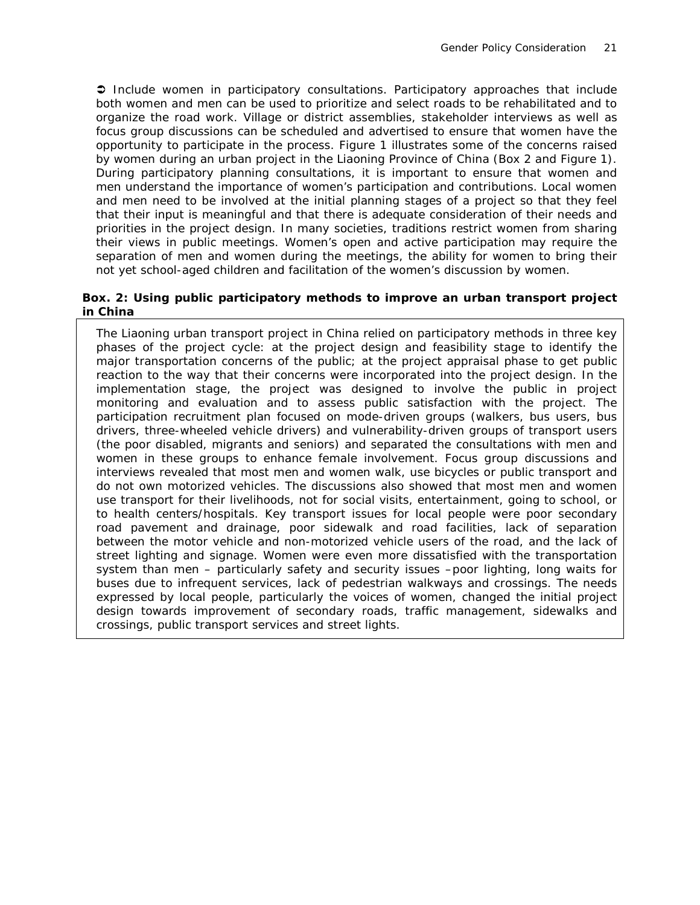*Include women in participatory consultations*. Participatory approaches that include both women and men can be used to prioritize and select roads to be rehabilitated and to organize the road work. Village or district assemblies, stakeholder interviews as well as focus group discussions can be scheduled and advertised to ensure that women have the opportunity to participate in the process. Figure 1 illustrates some of the concerns raised by women during an urban project in the Liaoning Province of China (Box 2 and Figure 1). During participatory planning consultations, it is important to ensure that women and men understand the importance of women's participation and contributions. Local women and men need to be involved at the initial planning stages of a project so that they feel that their input is meaningful and that there is adequate consideration of their needs and priorities in the project design. In many societies, traditions restrict women from sharing their views in public meetings. Women's open and active participation may require the separation of men and women during the meetings, the ability for women to bring their not yet school-aged children and facilitation of the women's discussion by women.

#### **Box. 2: Using public participatory methods to improve an urban transport project in China**

The Liaoning urban transport project in China relied on participatory methods in three key phases of the project cycle: at the project design and feasibility stage to identify the major transportation concerns of the public; at the project appraisal phase to get public reaction to the way that their concerns were incorporated into the project design. In the implementation stage, the project was designed to involve the public in project monitoring and evaluation and to assess public satisfaction with the project. The participation recruitment plan focused on mode-driven groups (walkers, bus users, bus drivers, three-wheeled vehicle drivers) and vulnerability-driven groups of transport users (the poor disabled, migrants and seniors) and separated the consultations with men and women in these groups to enhance female involvement. Focus group discussions and interviews revealed that most men and women walk, use bicycles or public transport and do not own motorized vehicles. The discussions also showed that most men and women use transport for their livelihoods, not for social visits, entertainment, going to school, or to health centers/hospitals. Key transport issues for local people were poor secondary road pavement and drainage, poor sidewalk and road facilities, lack of separation between the motor vehicle and non-motorized vehicle users of the road, and the lack of street lighting and signage. Women were even more dissatisfied with the transportation system than men – particularly safety and security issues –poor lighting, long waits for buses due to infrequent services, lack of pedestrian walkways and crossings. The needs expressed by local people, particularly the voices of women, changed the initial project design towards improvement of secondary roads, traffic management, sidewalks and crossings, public transport services and street lights.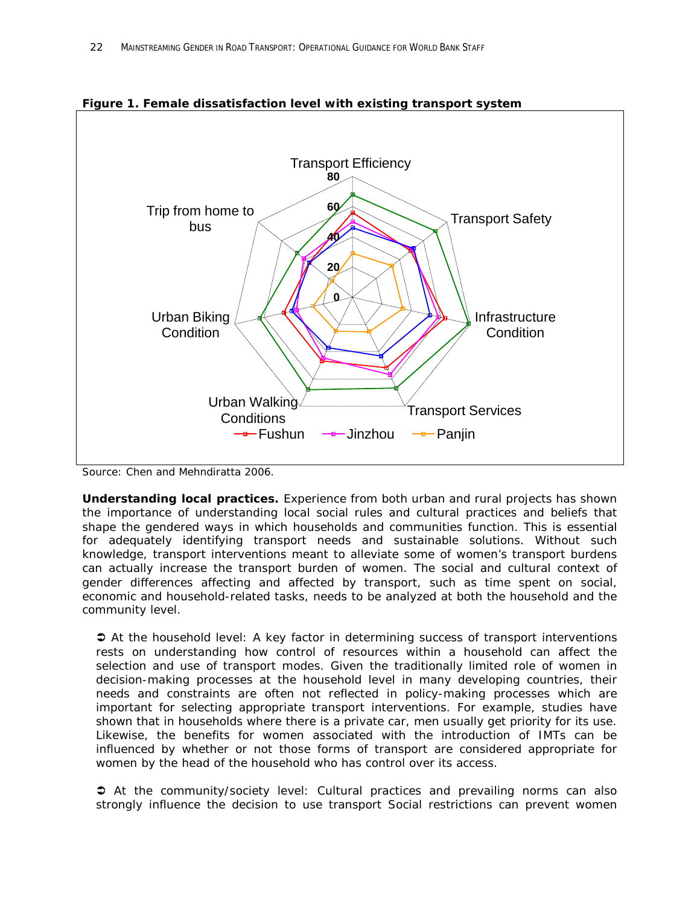

**Figure 1. Female dissatisfaction level with existing transport system**

*Source: Chen and Mehndiratta 2006.*

**Understanding local practices.** Experience from both urban and rural projects has shown the importance of understanding local social rules and cultural practices and beliefs that shape the gendered ways in which households and communities function. This is essential for adequately identifying transport needs and sustainable solutions. Without such knowledge, transport interventions meant to alleviate some of women's transport burdens can actually increase the transport burden of women. The social and cultural context of gender differences affecting and affected by transport, such as time spent on social, economic and household-related tasks, needs to be analyzed at both the household and the community level.

 *At the household level*: A key factor in determining success of transport interventions rests on understanding how control of resources within a household can affect the selection and use of transport modes. Given the traditionally limited role of women in decision-making processes at the household level in many developing countries, their needs and constraints are often not reflected in policy-making processes which are important for selecting appropriate transport interventions. For example, studies have shown that in households where there is a private car, men usually get priority for its use. Likewise, the benefits for women associated with the introduction of IMTs can be influenced by whether or not those forms of transport are considered appropriate for women by the head of the household who has control over its access.

 *At the community/society level*: Cultural practices and prevailing norms can also strongly influence the decision to use transport Social restrictions can prevent women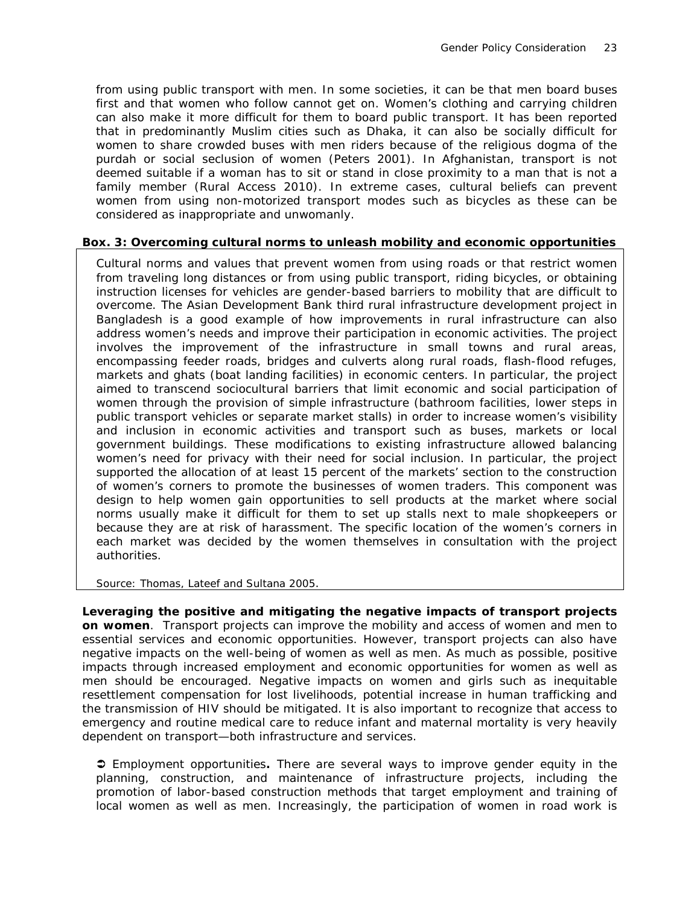from using public transport with men. In some societies, it can be that men board buses first and that women who follow cannot get on. Women's clothing and carrying children can also make it more difficult for them to board public transport. It has been reported that in predominantly Muslim cities such as Dhaka, it can also be socially difficult for women to share crowded buses with men riders because of the religious dogma of the purdah or social seclusion of women (Peters 2001). In Afghanistan, transport is not deemed suitable if a woman has to sit or stand in close proximity to a man that is not a family member (Rural Access 2010). In extreme cases, cultural beliefs can prevent women from using non-motorized transport modes such as bicycles as these can be considered as inappropriate and unwomanly.

#### **Box. 3: Overcoming cultural norms to unleash mobility and economic opportunities**

Cultural norms and values that prevent women from using roads or that restrict women from traveling long distances or from using public transport, riding bicycles, or obtaining instruction licenses for vehicles are gender-based barriers to mobility that are difficult to overcome. The Asian Development Bank third rural infrastructure development project in Bangladesh is a good example of how improvements in rural infrastructure can also address women's needs and improve their participation in economic activities. The project involves the improvement of the infrastructure in small towns and rural areas, encompassing feeder roads, bridges and culverts along rural roads, flash-flood refuges, markets and *ghats* (boat landing facilities) in economic centers. In particular, the project aimed to transcend sociocultural barriers that limit economic and social participation of women through the provision of simple infrastructure (bathroom facilities, lower steps in public transport vehicles or separate market stalls) in order to increase women's visibility and inclusion in economic activities and transport such as buses, markets or local government buildings. These modifications to existing infrastructure allowed balancing women's need for privacy with their need for social inclusion. In particular, the project supported the allocation of at least 15 percent of the markets' section to the construction of women's corners to promote the businesses of women traders. This component was design to help women gain opportunities to sell products at the market where social norms usually make it difficult for them to set up stalls next to male shopkeepers or because they are at risk of harassment. The specific location of the women's corners in each market was decided by the women themselves in consultation with the project authorities.

#### *Source: Thomas, Lateef and Sultana 2005*.

**Leveraging the positive and mitigating the negative impacts of transport projects on women**. Transport projects can improve the mobility and access of women and men to essential services and economic opportunities. However, transport projects can also have negative impacts on the well-being of women as well as men. As much as possible, positive impacts through increased employment and economic opportunities for women as well as men should be encouraged. Negative impacts on women and girls such as inequitable resettlement compensation for lost livelihoods, potential increase in human trafficking and the transmission of HIV should be mitigated. It is also important to recognize that access to emergency and routine medical care to reduce infant and maternal mortality is very heavily dependent on transport—both infrastructure and services.

 E*mployment opportunities***.** There are several ways to improve gender equity in the planning, construction, and maintenance of infrastructure projects, including the promotion of labor-based construction methods that target employment and training of local women as well as men. Increasingly, the participation of women in road work is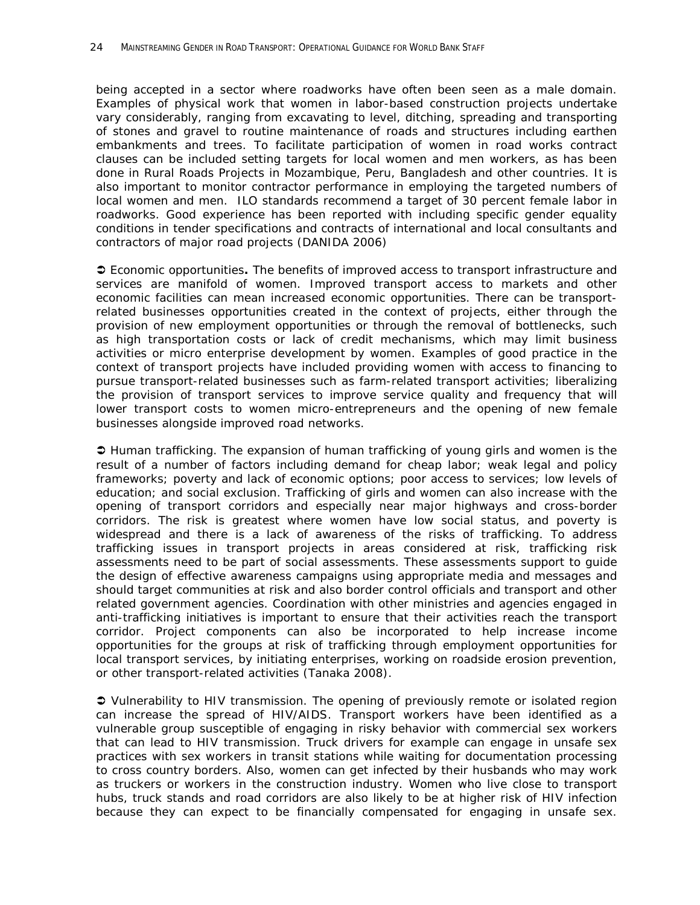being accepted in a sector where roadworks have often been seen as a male domain. Examples of physical work that women in labor-based construction projects undertake vary considerably, ranging from excavating to level, ditching, spreading and transporting of stones and gravel to routine maintenance of roads and structures including earthen embankments and trees. To facilitate participation of women in road works contract clauses can be included setting targets for local women and men workers, as has been done in Rural Roads Projects in Mozambique, Peru, Bangladesh and other countries. It is also important to monitor contractor performance in employing the targeted numbers of local women and men. ILO standards recommend a target of 30 percent female labor in roadworks. Good experience has been reported with including specific gender equality conditions in tender specifications and contracts of international and local consultants and contractors of major road projects (DANIDA 2006)

 *Economic opportunities***.** The benefits of improved access to transport infrastructure and services are manifold of women. Improved transport access to markets and other economic facilities can mean increased economic opportunities. There can be transportrelated businesses opportunities created in the context of projects, either through the provision of new employment opportunities or through the removal of bottlenecks, such as high transportation costs or lack of credit mechanisms, which may limit business activities or micro enterprise development by women. Examples of good practice in the context of transport projects have included providing women with access to financing to pursue transport-related businesses such as farm-related transport activities; liberalizing the provision of transport services to improve service quality and frequency that will lower transport costs to women micro-entrepreneurs and the opening of new female businesses alongside improved road networks.

 *Human trafficking*. The expansion of human trafficking of young girls and women is the result of a number of factors including demand for cheap labor; weak legal and policy frameworks; poverty and lack of economic options; poor access to services; low levels of education; and social exclusion. Trafficking of girls and women can also increase with the opening of transport corridors and especially near major highways and cross-border corridors. The risk is greatest where women have low social status, and poverty is widespread and there is a lack of awareness of the risks of trafficking. To address trafficking issues in transport projects in areas considered at risk, trafficking risk assessments need to be part of social assessments. These assessments support to guide the design of effective awareness campaigns using appropriate media and messages and should target communities at risk and also border control officials and transport and other related government agencies. Coordination with other ministries and agencies engaged in anti-trafficking initiatives is important to ensure that their activities reach the transport corridor. Project components can also be incorporated to help increase income opportunities for the groups at risk of trafficking through employment opportunities for local transport services, by initiating enterprises, working on roadside erosion prevention, or other transport-related activities (Tanaka 2008).

 V*ulnerability to HIV transmission*. The opening of previously remote or isolated region can increase the spread of HIV/AIDS. Transport workers have been identified as a vulnerable group susceptible of engaging in risky behavior with commercial sex workers that can lead to HIV transmission. Truck drivers for example can engage in unsafe sex practices with sex workers in transit stations while waiting for documentation processing to cross country borders. Also, women can get infected by their husbands who may work as truckers or workers in the construction industry. Women who live close to transport hubs, truck stands and road corridors are also likely to be at higher risk of HIV infection because they can expect to be financially compensated for engaging in unsafe sex.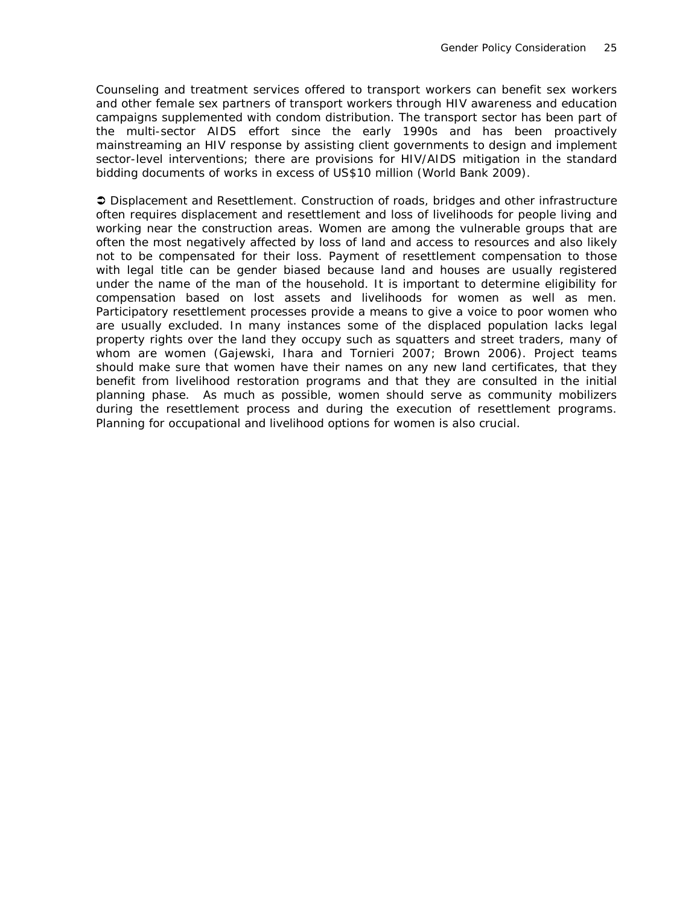Counseling and treatment services offered to transport workers can benefit sex workers and other female sex partners of transport workers through HIV awareness and education campaigns supplemented with condom distribution. The transport sector has been part of the multi-sector AIDS effort since the early 1990s and has been proactively mainstreaming an HIV response by assisting client governments to design and implement sector-level interventions; there are provisions for HIV/AIDS mitigation in the standard bidding documents of works in excess of US\$10 million (World Bank 2009).

 *Displacement and Resettlement.* Construction of roads, bridges and other infrastructure often requires displacement and resettlement and loss of livelihoods for people living and working near the construction areas. Women are among the vulnerable groups that are often the most negatively affected by loss of land and access to resources and also likely not to be compensated for their loss. Payment of resettlement compensation to those with legal title can be gender biased because land and houses are usually registered under the name of the man of the household. It is important to determine eligibility for compensation based on lost assets and livelihoods for women as well as men. Participatory resettlement processes provide a means to give a voice to poor women who are usually excluded. In many instances some of the displaced population lacks legal property rights over the land they occupy such as squatters and street traders, many of whom are women (Gajewski, Ihara and Tornieri 2007; Brown 2006). Project teams should make sure that women have their names on any new land certificates, that they benefit from livelihood restoration programs and that they are consulted in the initial planning phase. As much as possible, women should serve as community mobilizers during the resettlement process and during the execution of resettlement programs. Planning for occupational and livelihood options for women is also crucial.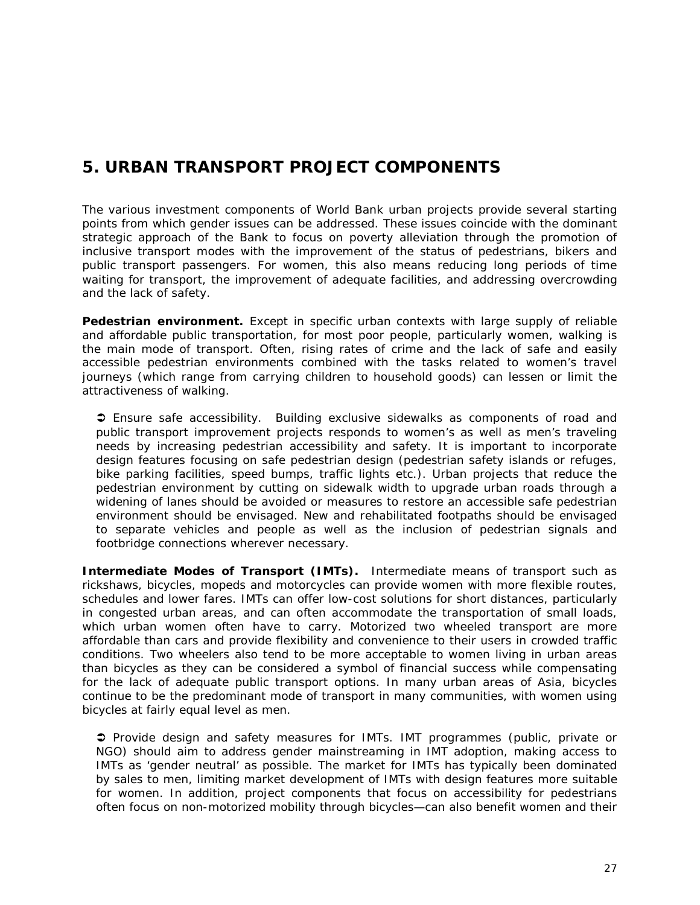# *5. URBAN TRANSPORT PROJECT COMPONENTS*

The various investment components of World Bank urban projects provide several starting points from which gender issues can be addressed. These issues coincide with the dominant strategic approach of the Bank to focus on poverty alleviation through the promotion of inclusive transport modes with the improvement of the status of pedestrians, bikers and public transport passengers. For women, this also means reducing long periods of time waiting for transport, the improvement of adequate facilities, and addressing overcrowding and the lack of safety.

**Pedestrian environment.** Except in specific urban contexts with large supply of reliable and affordable public transportation, for most poor people, particularly women, walking is the main mode of transport. Often, rising rates of crime and the lack of safe and easily accessible pedestrian environments combined with the tasks related to women's travel journeys (which range from carrying children to household goods) can lessen or limit the attractiveness of walking.

 *Ensure safe accessibility*. Building exclusive sidewalks as components of road and public transport improvement projects responds to women's as well as men's traveling needs by increasing pedestrian accessibility and safety. It is important to incorporate design features focusing on safe pedestrian design (pedestrian safety islands or refuges, bike parking facilities, speed bumps, traffic lights etc.). Urban projects that reduce the pedestrian environment by cutting on sidewalk width to upgrade urban roads through a widening of lanes should be avoided or measures to restore an accessible safe pedestrian environment should be envisaged. New and rehabilitated footpaths should be envisaged to separate vehicles and people as well as the inclusion of pedestrian signals and footbridge connections wherever necessary.

**Intermediate Modes of Transport (IMTs).** Intermediate means of transport such as rickshaws, bicycles, mopeds and motorcycles can provide women with more flexible routes, schedules and lower fares. IMTs can offer low-cost solutions for short distances, particularly in congested urban areas, and can often accommodate the transportation of small loads, which urban women often have to carry. Motorized two wheeled transport are more affordable than cars and provide flexibility and convenience to their users in crowded traffic conditions. Two wheelers also tend to be more acceptable to women living in urban areas than bicycles as they can be considered a symbol of financial success while compensating for the lack of adequate public transport options. In many urban areas of Asia, bicycles continue to be the predominant mode of transport in many communities, with women using bicycles at fairly equal level as men.

 *Provide design and safety measures for IMTs*. IMT programmes (public, private or NGO) should aim to address gender mainstreaming in IMT adoption, making access to IMTs as 'gender neutral' as possible. The market for IMTs has typically been dominated by sales to men, limiting market development of IMTs with design features more suitable for women. In addition, project components that focus on accessibility for pedestrians often focus on non-motorized mobility through bicycles—can also benefit women and their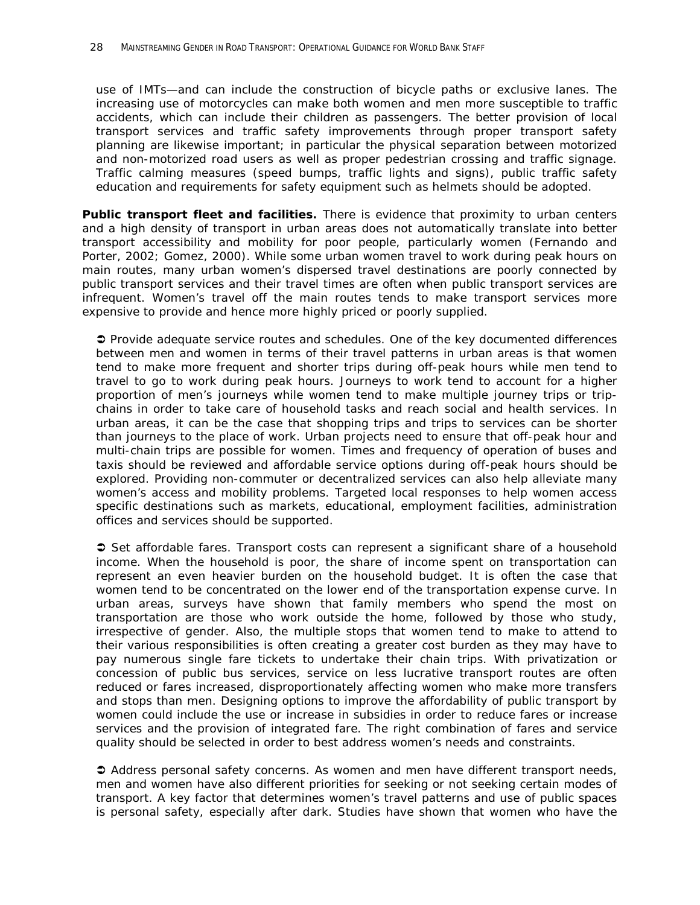use of IMTs—and can include the construction of bicycle paths or exclusive lanes. The increasing use of motorcycles can make both women and men more susceptible to traffic accidents, which can include their children as passengers. The better provision of local transport services and traffic safety improvements through proper transport safety planning are likewise important; in particular the physical separation between motorized and non-motorized road users as well as proper pedestrian crossing and traffic signage. Traffic calming measures (speed bumps, traffic lights and signs), public traffic safety education and requirements for safety equipment such as helmets should be adopted.

**Public transport fleet and facilities.** There is evidence that proximity to urban centers and a high density of transport in urban areas does not automatically translate into better transport accessibility and mobility for poor people, particularly women (Fernando and Porter, 2002; Gomez, 2000). While some urban women travel to work during peak hours on main routes, many urban women's dispersed travel destinations are poorly connected by public transport services and their travel times are often when public transport services are infrequent. Women's travel off the main routes tends to make transport services more expensive to provide and hence more highly priced or poorly supplied.

 *Provide adequate service routes and schedules.* One of the key documented differences between men and women in terms of their travel patterns in urban areas is that women tend to make more frequent and shorter trips during off-peak hours while men tend to travel to go to work during peak hours. Journeys to work tend to account for a higher proportion of men's journeys while women tend to make multiple journey trips or tripchains in order to take care of household tasks and reach social and health services. In urban areas, it can be the case that shopping trips and trips to services can be shorter than journeys to the place of work. Urban projects need to ensure that off-peak hour and multi-chain trips are possible for women. Times and frequency of operation of buses and taxis should be reviewed and affordable service options during off-peak hours should be explored. Providing non-commuter or decentralized services can also help alleviate many women's access and mobility problems. Targeted local responses to help women access specific destinations such as markets, educational, employment facilities, administration offices and services should be supported.

 *Set affordable fares.* Transport costs can represent a significant share of a household income. When the household is poor, the share of income spent on transportation can represent an even heavier burden on the household budget. It is often the case that women tend to be concentrated on the lower end of the transportation expense curve. In urban areas, surveys have shown that family members who spend the most on transportation are those who work outside the home, followed by those who study, irrespective of gender. Also, the multiple stops that women tend to make to attend to their various responsibilities is often creating a greater cost burden as they may have to pay numerous single fare tickets to undertake their chain trips. With privatization or concession of public bus services, service on less lucrative transport routes are often reduced or fares increased, disproportionately affecting women who make more transfers and stops than men. Designing options to improve the affordability of public transport by women could include the use or increase in subsidies in order to reduce fares or increase services and the provision of integrated fare. The right combination of fares and service quality should be selected in order to best address women's needs and constraints.

 *Address personal safety concerns.* As women and men have different transport needs, men and women have also different priorities for seeking or not seeking certain modes of transport. A key factor that determines women's travel patterns and use of public spaces is personal safety, especially after dark. Studies have shown that women who have the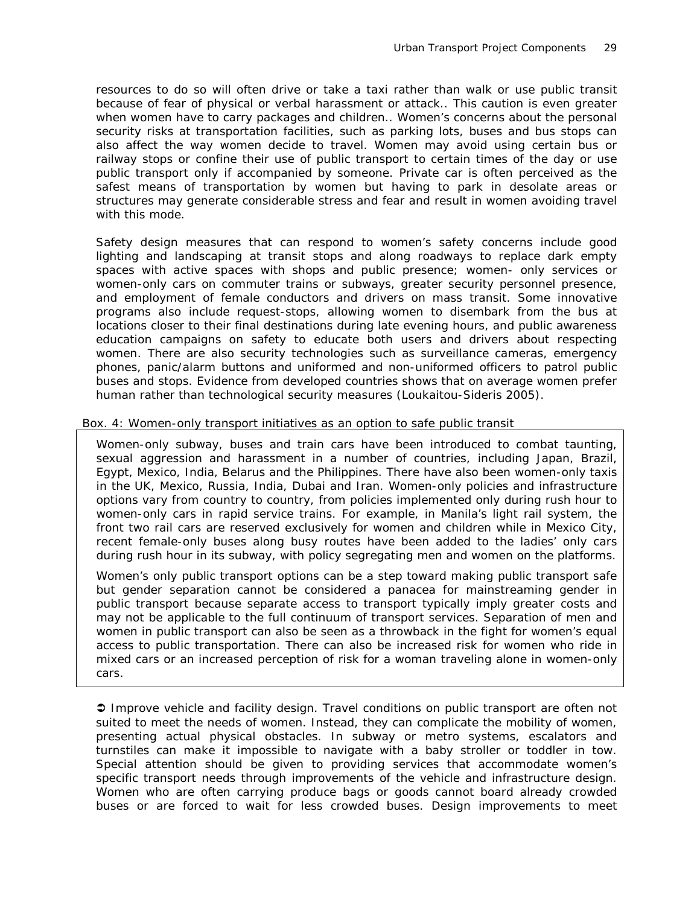resources to do so will often drive or take a taxi rather than walk or use public transit because of fear of physical or verbal harassment or attack.. This caution is even greater when women have to carry packages and children.. Women's concerns about the personal security risks at transportation facilities, such as parking lots, buses and bus stops can also affect the way women decide to travel. Women may avoid using certain bus or railway stops or confine their use of public transport to certain times of the day or use public transport only if accompanied by someone. Private car is often perceived as the safest means of transportation by women but having to park in desolate areas or structures may generate considerable stress and fear and result in women avoiding travel with this mode.

Safety design measures that can respond to women's safety concerns include good lighting and landscaping at transit stops and along roadways to replace dark empty spaces with active spaces with shops and public presence; women- only services or women-only cars on commuter trains or subways, greater security personnel presence, and employment of female conductors and drivers on mass transit. Some innovative programs also include request-stops, allowing women to disembark from the bus at locations closer to their final destinations during late evening hours, and public awareness education campaigns on safety to educate both users and drivers about respecting women. There are also security technologies such as surveillance cameras, emergency phones, panic/alarm buttons and uniformed and non-uniformed officers to patrol public buses and stops. Evidence from developed countries shows that on average women prefer human rather than technological security measures (Loukaitou-Sideris 2005).

#### Box. 4: Women-only transport initiatives as an option to safe public transit

Women-only subway, buses and train cars have been introduced to combat taunting, sexual aggression and harassment in a number of countries, including Japan, Brazil, Egypt, Mexico, India, Belarus and the Philippines. There have also been women-only taxis in the UK, Mexico, Russia, India, Dubai and Iran. Women-only policies and infrastructure options vary from country to country, from policies implemented only during rush hour to women-only cars in rapid service trains. For example, in Manila's light rail system, the front two rail cars are reserved exclusively for women and children while in Mexico City, recent female-only buses along busy routes have been added to the ladies' only cars during rush hour in its subway, with policy segregating men and women on the platforms.

Women's only public transport options can be a step toward making public transport safe but gender separation cannot be considered a panacea for mainstreaming gender in public transport because separate access to transport typically imply greater costs and may not be applicable to the full continuum of transport services. Separation of men and women in public transport can also be seen as a throwback in the fight for women's equal access to public transportation. There can also be increased risk for women who ride in mixed cars or an increased perception of risk for a woman traveling alone in women-only cars.

 *Improve vehicle and facility design.* Travel conditions on public transport are often not suited to meet the needs of women. Instead, they can complicate the mobility of women, presenting actual physical obstacles. In subway or metro systems, escalators and turnstiles can make it impossible to navigate with a baby stroller or toddler in tow. Special attention should be given to providing services that accommodate women's specific transport needs through improvements of the vehicle and infrastructure design. Women who are often carrying produce bags or goods cannot board already crowded buses or are forced to wait for less crowded buses. Design improvements to meet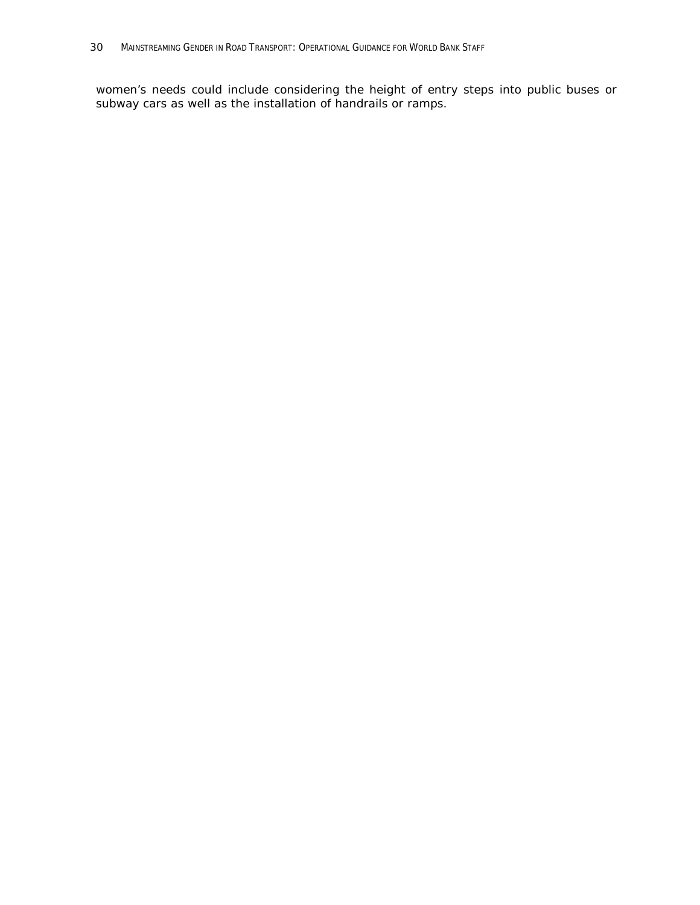women's needs could include considering the height of entry steps into public buses or subway cars as well as the installation of handrails or ramps.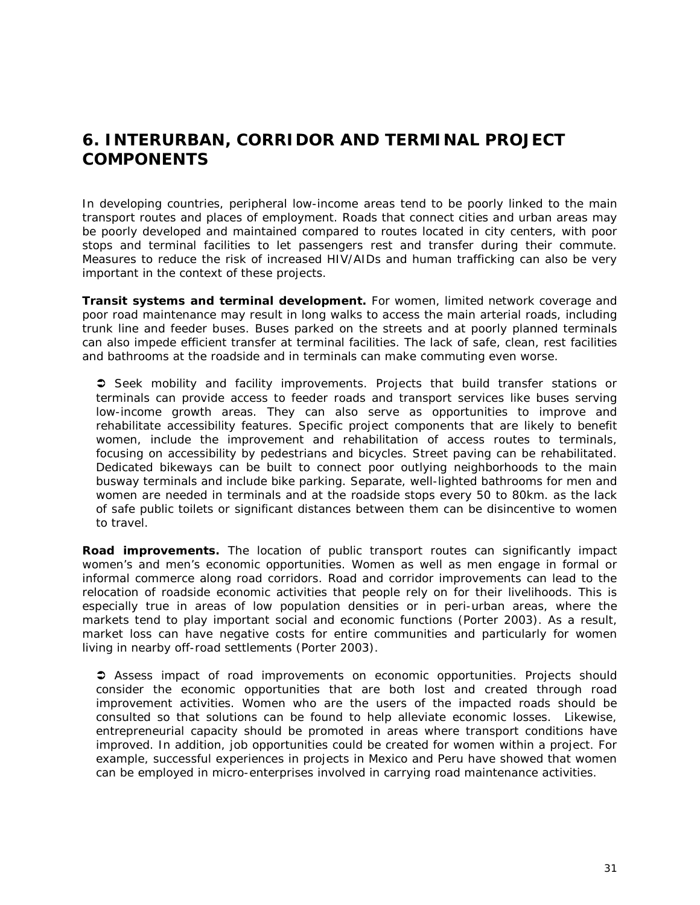### *6. INTERURBAN, CORRIDOR AND TERMINAL PROJECT COMPONENTS*

In developing countries, peripheral low-income areas tend to be poorly linked to the main transport routes and places of employment. Roads that connect cities and urban areas may be poorly developed and maintained compared to routes located in city centers, with poor stops and terminal facilities to let passengers rest and transfer during their commute. Measures to reduce the risk of increased HIV/AIDs and human trafficking can also be very important in the context of these projects.

**Transit systems and terminal development.** For women, limited network coverage and poor road maintenance may result in long walks to access the main arterial roads, including trunk line and feeder buses. Buses parked on the streets and at poorly planned terminals can also impede efficient transfer at terminal facilities. The lack of safe, clean, rest facilities and bathrooms at the roadside and in terminals can make commuting even worse.

 *Seek mobility and facility improvements*. Projects that build transfer stations or terminals can provide access to feeder roads and transport services like buses serving low-income growth areas. They can also serve as opportunities to improve and rehabilitate accessibility features. Specific project components that are likely to benefit women, include the improvement and rehabilitation of access routes to terminals, focusing on accessibility by pedestrians and bicycles. Street paving can be rehabilitated. Dedicated bikeways can be built to connect poor outlying neighborhoods to the main busway terminals and include bike parking. Separate, well-lighted bathrooms for men and women are needed in terminals and at the roadside stops every 50 to 80km. as the lack of safe public toilets or significant distances between them can be disincentive to women to travel.

**Road improvements.** The location of public transport routes can significantly impact women's and men's economic opportunities. Women as well as men engage in formal or informal commerce along road corridors. Road and corridor improvements can lead to the relocation of roadside economic activities that people rely on for their livelihoods. This is especially true in areas of low population densities or in peri-urban areas, where the markets tend to play important social and economic functions (Porter 2003). As a result, market loss can have negative costs for entire communities and particularly for women living in nearby off-road settlements (Porter 2003).

 *Assess impact of road improvements on economic opportunities*. Projects should consider the economic opportunities that are both lost and created through road improvement activities. Women who are the users of the impacted roads should be consulted so that solutions can be found to help alleviate economic losses. Likewise, entrepreneurial capacity should be promoted in areas where transport conditions have improved. In addition, job opportunities could be created for women within a project. For example, successful experiences in projects in Mexico and Peru have showed that women can be employed in micro-enterprises involved in carrying road maintenance activities.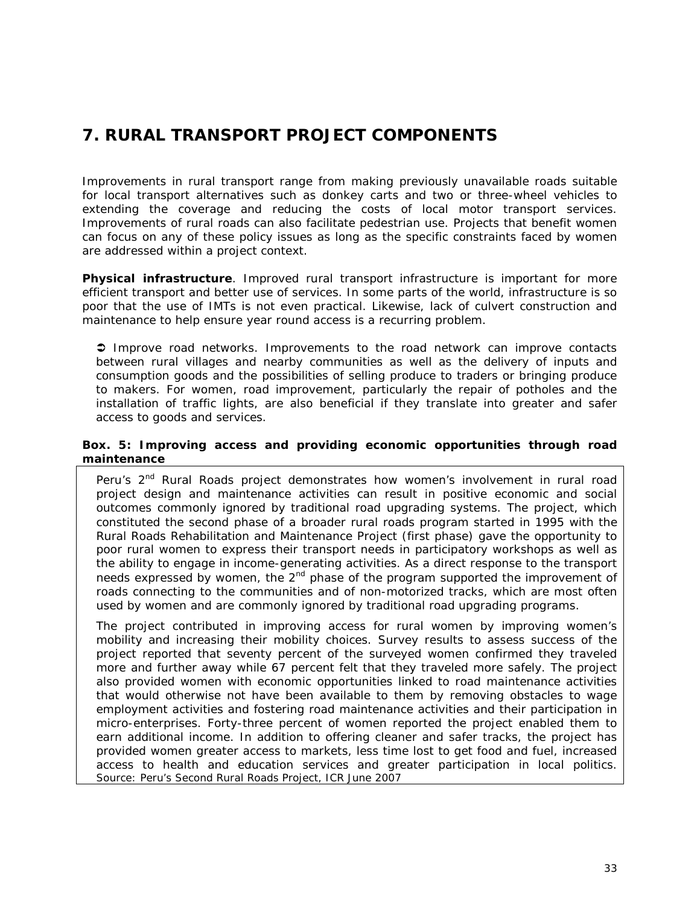# *7. RURAL TRANSPORT PROJECT COMPONENTS*

Improvements in rural transport range from making previously unavailable roads suitable for local transport alternatives such as donkey carts and two or three-wheel vehicles to extending the coverage and reducing the costs of local motor transport services. Improvements of rural roads can also facilitate pedestrian use. Projects that benefit women can focus on any of these policy issues as long as the specific constraints faced by women are addressed within a project context.

**Physical infrastructure**. Improved rural transport infrastructure is important for more efficient transport and better use of services. In some parts of the world, infrastructure is so poor that the use of IMTs is not even practical. Likewise, lack of culvert construction and maintenance to help ensure year round access is a recurring problem.

 *Improve road network*s. Improvements to the road network can improve contacts between rural villages and nearby communities as well as the delivery of inputs and consumption goods and the possibilities of selling produce to traders or bringing produce to makers. For women, road improvement, particularly the repair of potholes and the installation of traffic lights, are also beneficial if they translate into greater and safer access to goods and services.

#### **Box. 5: Improving access and providing economic opportunities through road maintenance**

Peru's 2<sup>nd</sup> Rural Roads project demonstrates how women's involvement in rural road project design and maintenance activities can result in positive economic and social outcomes commonly ignored by traditional road upgrading systems. The project, which constituted the second phase of a broader rural roads program started in 1995 with the Rural Roads Rehabilitation and Maintenance Project (first phase) gave the opportunity to poor rural women to express their transport needs in participatory workshops as well as the ability to engage in income-generating activities. As a direct response to the transport needs expressed by women, the  $2<sup>nd</sup>$  phase of the program supported the improvement of roads connecting to the communities and of non-motorized tracks, which are most often used by women and are commonly ignored by traditional road upgrading programs.

The project contributed in improving access for rural women by improving women's mobility and increasing their mobility choices. Survey results to assess success of the project reported that seventy percent of the surveyed women confirmed they traveled more and further away while 67 percent felt that they traveled more safely. The project also provided women with economic opportunities linked to road maintenance activities that would otherwise not have been available to them by removing obstacles to wage employment activities and fostering road maintenance activities and their participation in micro-enterprises. Forty-three percent of women reported the project enabled them to earn additional income. In addition to offering cleaner and safer tracks, the project has provided women greater access to markets, less time lost to get food and fuel, increased access to health and education services and greater participation in local politics. *Source: Peru's Second Rural Roads Project, ICR June 2007*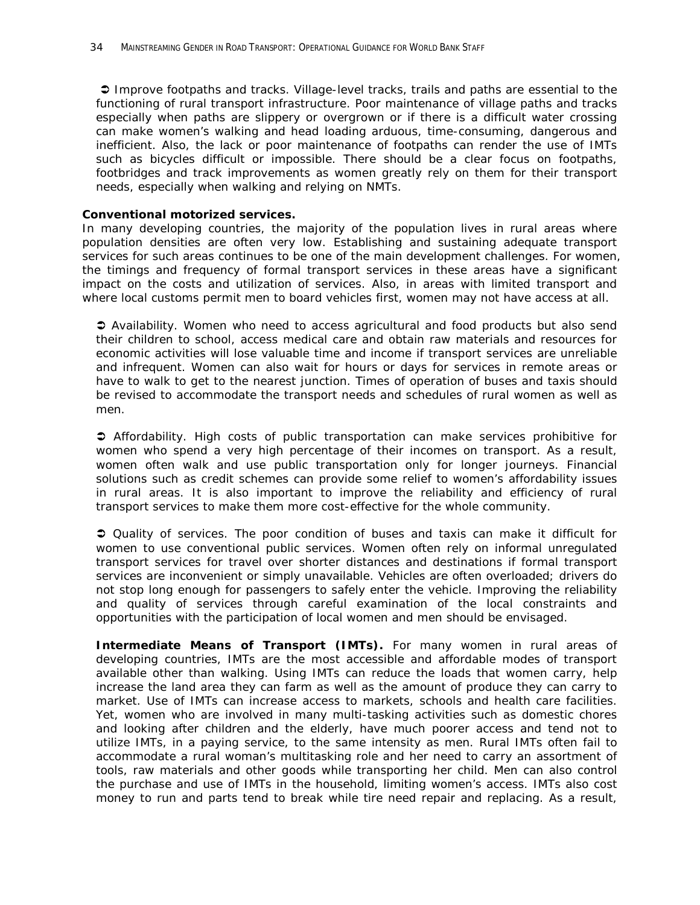*Improve footpaths and tracks*. Village-level tracks, trails and paths are essential to the functioning of rural transport infrastructure. Poor maintenance of village paths and tracks especially when paths are slippery or overgrown or if there is a difficult water crossing can make women's walking and head loading arduous, time-consuming, dangerous and inefficient. Also, the lack or poor maintenance of footpaths can render the use of IMTs such as bicycles difficult or impossible. There should be a clear focus on footpaths, footbridges and track improvements as women greatly rely on them for their transport needs, especially when walking and relying on NMTs.

#### **Conventional motorized services.**

In many developing countries, the majority of the population lives in rural areas where population densities are often very low. Establishing and sustaining adequate transport services for such areas continues to be one of the main development challenges. For women, the timings and frequency of formal transport services in these areas have a significant impact on the costs and utilization of services. Also, in areas with limited transport and where local customs permit men to board vehicles first, women may not have access at all.

 *Availability*. Women who need to access agricultural and food products but also send their children to school, access medical care and obtain raw materials and resources for economic activities will lose valuable time and income if transport services are unreliable and infrequent. Women can also wait for hours or days for services in remote areas or have to walk to get to the nearest junction. Times of operation of buses and taxis should be revised to accommodate the transport needs and schedules of rural women as well as men.

 *Affordability*. High costs of public transportation can make services prohibitive for women who spend a very high percentage of their incomes on transport. As a result, women often walk and use public transportation only for longer journeys. Financial solutions such as credit schemes can provide some relief to women's affordability issues in rural areas. It is also important to improve the reliability and efficiency of rural transport services to make them more cost-effective for the whole community.

 *Quality of services.* The poor condition of buses and taxis can make it difficult for women to use conventional public services. Women often rely on informal unregulated transport services for travel over shorter distances and destinations if formal transport services are inconvenient or simply unavailable. Vehicles are often overloaded; drivers do not stop long enough for passengers to safely enter the vehicle. Improving the reliability and quality of services through careful examination of the local constraints and opportunities with the participation of local women and men should be envisaged.

**Intermediate Means of Transport (IMTs).** For many women in rural areas of developing countries, IMTs are the most accessible and affordable modes of transport available other than walking. Using IMTs can reduce the loads that women carry, help increase the land area they can farm as well as the amount of produce they can carry to market. Use of IMTs can increase access to markets, schools and health care facilities. Yet, women who are involved in many multi-tasking activities such as domestic chores and looking after children and the elderly, have much poorer access and tend not to utilize IMTs, in a paying service, to the same intensity as men. Rural IMTs often fail to accommodate a rural woman's multitasking role and her need to carry an assortment of tools, raw materials and other goods while transporting her child. Men can also control the purchase and use of IMTs in the household, limiting women's access. IMTs also cost money to run and parts tend to break while tire need repair and replacing. As a result,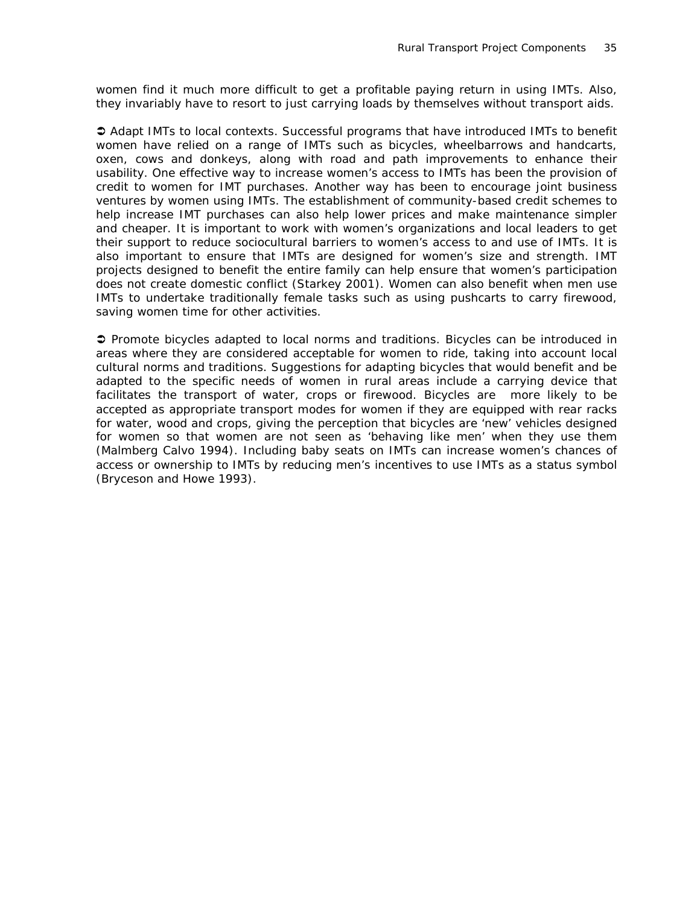women find it much more difficult to get a profitable paying return in using IMTs. Also, they invariably have to resort to just carrying loads by themselves without transport aids.

 *Adapt IMTs to local contexts*. Successful programs that have introduced IMTs to benefit women have relied on a range of IMTs such as bicycles, wheelbarrows and handcarts, oxen, cows and donkeys, along with road and path improvements to enhance their usability. One effective way to increase women's access to IMTs has been the provision of credit to women for IMT purchases. Another way has been to encourage joint business ventures by women using IMTs. The establishment of community-based credit schemes to help increase IMT purchases can also help lower prices and make maintenance simpler and cheaper. It is important to work with women's organizations and local leaders to get their support to reduce sociocultural barriers to women's access to and use of IMTs. It is also important to ensure that IMTs are designed for women's size and strength. IMT projects designed to benefit the entire family can help ensure that women's participation does not create domestic conflict (Starkey 2001). Women can also benefit when men use IMTs to undertake traditionally female tasks such as using pushcarts to carry firewood, saving women time for other activities.

 *Promote bicycles adapted to local norms and traditions*. Bicycles can be introduced in areas where they are considered acceptable for women to ride, taking into account local cultural norms and traditions. Suggestions for adapting bicycles that would benefit and be adapted to the specific needs of women in rural areas include a carrying device that facilitates the transport of water, crops or firewood. Bicycles are more likely to be accepted as appropriate transport modes for women if they are equipped with rear racks for water, wood and crops, giving the perception that bicycles are 'new' vehicles designed for women so that women are not seen as 'behaving like men' when they use them (Malmberg Calvo 1994). Including baby seats on IMTs can increase women's chances of access or ownership to IMTs by reducing men's incentives to use IMTs as a status symbol (Bryceson and Howe 1993).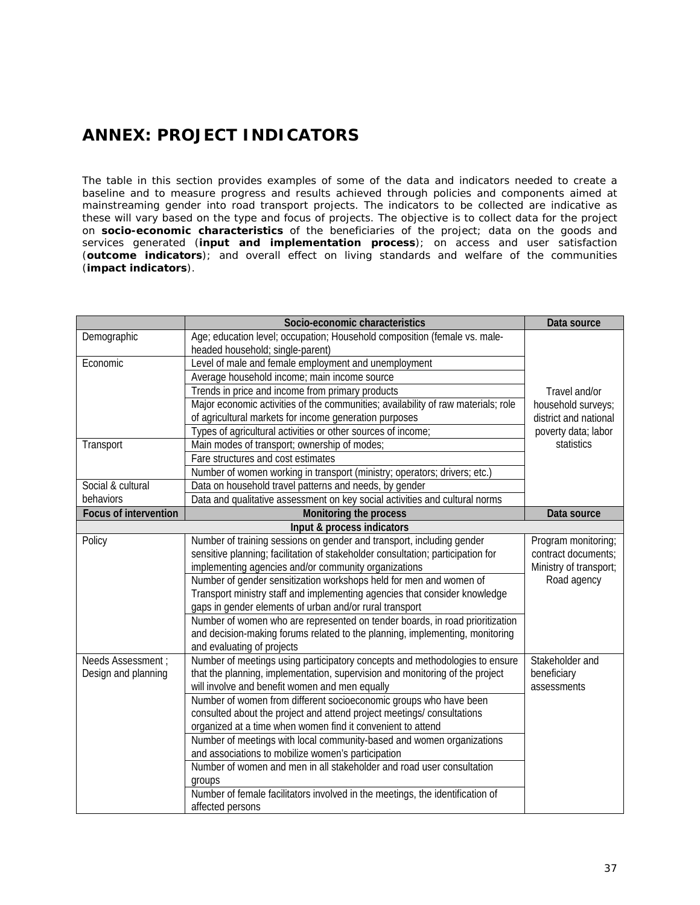## *ANNEX: PROJECT INDICATORS*

The table in this section provides examples of some of the data and indicators needed to create a baseline and to measure progress and results achieved through policies and components aimed at mainstreaming gender into road transport projects. The indicators to be collected are indicative as these will vary based on the type and focus of projects. The objective is to collect data for the project on **socio-economic characteristics** of the beneficiaries of the project; data on the goods and services generated (**input and implementation process**); on access and user satisfaction (**outcome indicators**); and overall effect on living standards and welfare of the communities (**impact indicators**).

|                              | Socio-economic characteristics                                                                                | Data source            |
|------------------------------|---------------------------------------------------------------------------------------------------------------|------------------------|
| Demographic                  | Age; education level; occupation; Household composition (female vs. male-<br>headed household; single-parent) |                        |
| Economic                     | Level of male and female employment and unemployment                                                          |                        |
|                              | Average household income; main income source                                                                  |                        |
|                              | Trends in price and income from primary products                                                              | Travel and/or          |
|                              | Major economic activities of the communities; availability of raw materials; role                             | household surveys;     |
|                              | of agricultural markets for income generation purposes                                                        | district and national  |
|                              | Types of agricultural activities or other sources of income;                                                  | poverty data; labor    |
| Transport                    | Main modes of transport; ownership of modes;                                                                  | statistics             |
|                              | Fare structures and cost estimates                                                                            |                        |
|                              | Number of women working in transport (ministry; operators; drivers; etc.)                                     |                        |
| Social & cultural            | Data on household travel patterns and needs, by gender                                                        |                        |
| behaviors                    | Data and qualitative assessment on key social activities and cultural norms                                   |                        |
| <b>Focus of intervention</b> | Monitoring the process                                                                                        | Data source            |
|                              | Input & process indicators                                                                                    |                        |
| Policy                       | Number of training sessions on gender and transport, including gender                                         | Program monitoring;    |
|                              | sensitive planning; facilitation of stakeholder consultation; participation for                               | contract documents;    |
|                              | implementing agencies and/or community organizations                                                          | Ministry of transport; |
|                              | Number of gender sensitization workshops held for men and women of                                            | Road agency            |
|                              | Transport ministry staff and implementing agencies that consider knowledge                                    |                        |
|                              | gaps in gender elements of urban and/or rural transport                                                       |                        |
|                              | Number of women who are represented on tender boards, in road prioritization                                  |                        |
|                              | and decision-making forums related to the planning, implementing, monitoring                                  |                        |
|                              | and evaluating of projects                                                                                    |                        |
| Needs Assessment :           | Number of meetings using participatory concepts and methodologies to ensure                                   | Stakeholder and        |
| Design and planning          | that the planning, implementation, supervision and monitoring of the project                                  | beneficiary            |
|                              | will involve and benefit women and men equally                                                                | assessments            |
|                              | Number of women from different socioeconomic groups who have been                                             |                        |
|                              | consulted about the project and attend project meetings/consultations                                         |                        |
|                              | organized at a time when women find it convenient to attend                                                   |                        |
|                              | Number of meetings with local community-based and women organizations                                         |                        |
|                              | and associations to mobilize women's participation                                                            |                        |
|                              | Number of women and men in all stakeholder and road user consultation                                         |                        |
|                              | groups<br>Number of female facilitators involved in the meetings, the identification of                       |                        |
|                              |                                                                                                               |                        |
|                              | affected persons                                                                                              |                        |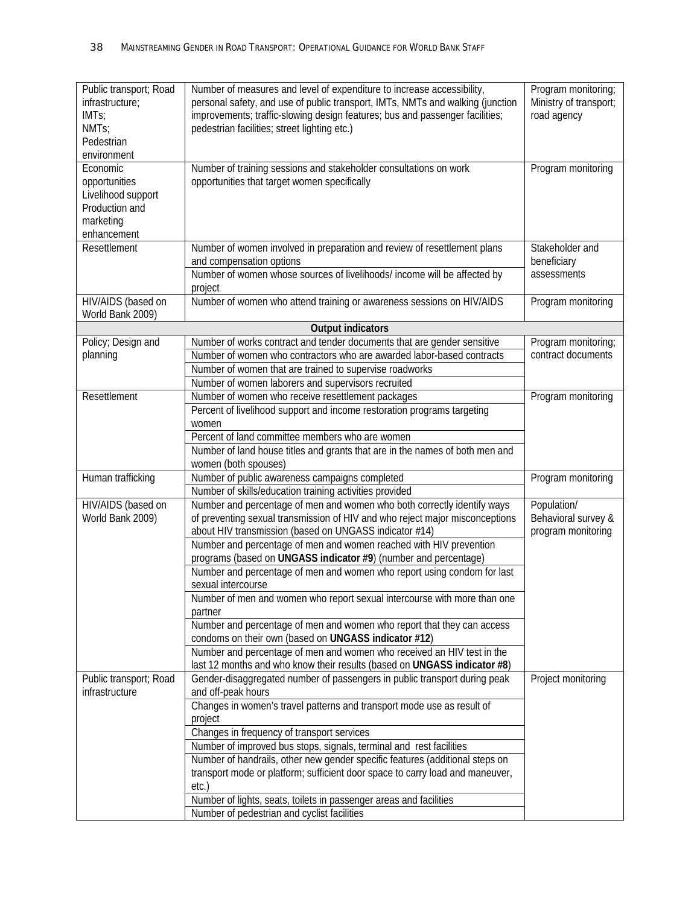| Public transport; Road<br>infrastructure;<br>IMT <sub>S</sub> :<br>NMT <sub>S</sub> ;<br>Pedestrian<br>environment | Number of measures and level of expenditure to increase accessibility,<br>personal safety, and use of public transport, IMTs, NMTs and walking (junction<br>improvements; traffic-slowing design features; bus and passenger facilities;<br>pedestrian facilities; street lighting etc.) | Program monitoring;<br>Ministry of transport;<br>road agency |
|--------------------------------------------------------------------------------------------------------------------|------------------------------------------------------------------------------------------------------------------------------------------------------------------------------------------------------------------------------------------------------------------------------------------|--------------------------------------------------------------|
| Economic<br>opportunities<br>Livelihood support<br>Production and<br>marketing<br>enhancement                      | Number of training sessions and stakeholder consultations on work<br>opportunities that target women specifically                                                                                                                                                                        | Program monitoring                                           |
| Resettlement                                                                                                       | Number of women involved in preparation and review of resettlement plans<br>and compensation options<br>Number of women whose sources of livelihoods/ income will be affected by                                                                                                         | Stakeholder and<br>beneficiary<br>assessments                |
| HIV/AIDS (based on<br>World Bank 2009)                                                                             | project<br>Number of women who attend training or awareness sessions on HIV/AIDS                                                                                                                                                                                                         | Program monitoring                                           |
|                                                                                                                    | <b>Output indicators</b>                                                                                                                                                                                                                                                                 |                                                              |
| Policy; Design and                                                                                                 | Number of works contract and tender documents that are gender sensitive                                                                                                                                                                                                                  | Program monitoring;                                          |
| planning                                                                                                           | Number of women who contractors who are awarded labor-based contracts                                                                                                                                                                                                                    | contract documents                                           |
|                                                                                                                    | Number of women that are trained to supervise roadworks                                                                                                                                                                                                                                  |                                                              |
|                                                                                                                    | Number of women laborers and supervisors recruited                                                                                                                                                                                                                                       |                                                              |
| Resettlement                                                                                                       | Number of women who receive resettlement packages                                                                                                                                                                                                                                        | Program monitoring                                           |
|                                                                                                                    | Percent of livelihood support and income restoration programs targeting                                                                                                                                                                                                                  |                                                              |
|                                                                                                                    | women                                                                                                                                                                                                                                                                                    |                                                              |
|                                                                                                                    | Percent of land committee members who are women                                                                                                                                                                                                                                          |                                                              |
|                                                                                                                    | Number of land house titles and grants that are in the names of both men and                                                                                                                                                                                                             |                                                              |
|                                                                                                                    | women (both spouses)                                                                                                                                                                                                                                                                     |                                                              |
| Human trafficking                                                                                                  | Number of public awareness campaigns completed                                                                                                                                                                                                                                           | Program monitoring                                           |
|                                                                                                                    | Number of skills/education training activities provided                                                                                                                                                                                                                                  |                                                              |
| HIV/AIDS (based on                                                                                                 | Number and percentage of men and women who both correctly identify ways                                                                                                                                                                                                                  | Population/                                                  |
| World Bank 2009)                                                                                                   | of preventing sexual transmission of HIV and who reject major misconceptions<br>about HIV transmission (based on UNGASS indicator #14)                                                                                                                                                   | Behavioral survey &<br>program monitoring                    |
|                                                                                                                    | Number and percentage of men and women reached with HIV prevention                                                                                                                                                                                                                       |                                                              |
|                                                                                                                    | programs (based on UNGASS indicator #9) (number and percentage)                                                                                                                                                                                                                          |                                                              |
|                                                                                                                    | Number and percentage of men and women who report using condom for last<br>sexual intercourse                                                                                                                                                                                            |                                                              |
|                                                                                                                    | Number of men and women who report sexual intercourse with more than one<br>partner                                                                                                                                                                                                      |                                                              |
|                                                                                                                    | Number and percentage of men and women who report that they can access<br>condoms on their own (based on UNGASS indicator #12)                                                                                                                                                           |                                                              |
|                                                                                                                    | Number and percentage of men and women who received an HIV test in the<br>last 12 months and who know their results (based on UNGASS indicator #8)                                                                                                                                       |                                                              |
| Public transport; Road                                                                                             | Gender-disaggregated number of passengers in public transport during peak                                                                                                                                                                                                                | Project monitoring                                           |
| infrastructure                                                                                                     | and off-peak hours                                                                                                                                                                                                                                                                       |                                                              |
|                                                                                                                    | Changes in women's travel patterns and transport mode use as result of<br>project                                                                                                                                                                                                        |                                                              |
|                                                                                                                    | Changes in frequency of transport services                                                                                                                                                                                                                                               |                                                              |
|                                                                                                                    | Number of improved bus stops, signals, terminal and rest facilities                                                                                                                                                                                                                      |                                                              |
|                                                                                                                    | Number of handrails, other new gender specific features (additional steps on                                                                                                                                                                                                             |                                                              |
|                                                                                                                    | transport mode or platform; sufficient door space to carry load and maneuver,                                                                                                                                                                                                            |                                                              |
|                                                                                                                    | etc.                                                                                                                                                                                                                                                                                     |                                                              |
|                                                                                                                    | Number of lights, seats, toilets in passenger areas and facilities                                                                                                                                                                                                                       |                                                              |
|                                                                                                                    | Number of pedestrian and cyclist facilities                                                                                                                                                                                                                                              |                                                              |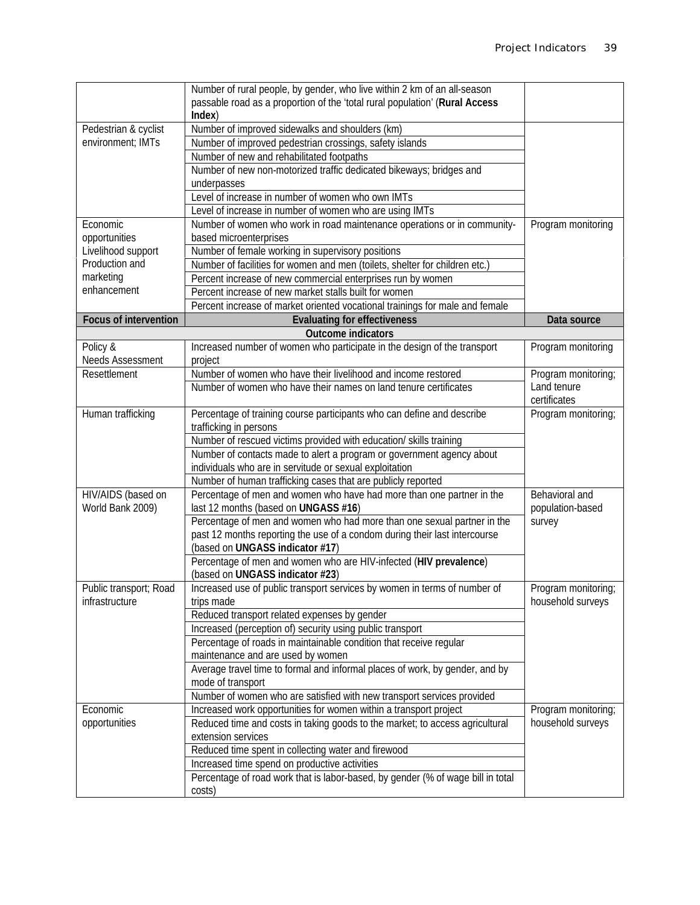|                              | Number of rural people, by gender, who live within 2 km of an all-season        |                     |
|------------------------------|---------------------------------------------------------------------------------|---------------------|
|                              | passable road as a proportion of the 'total rural population' (Rural Access     |                     |
|                              | Index)                                                                          |                     |
| Pedestrian & cyclist         | Number of improved sidewalks and shoulders (km)                                 |                     |
| environment; IMTs            | Number of improved pedestrian crossings, safety islands                         |                     |
|                              | Number of new and rehabilitated footpaths                                       |                     |
|                              | Number of new non-motorized traffic dedicated bikeways; bridges and             |                     |
|                              |                                                                                 |                     |
|                              | underpasses                                                                     |                     |
|                              | Level of increase in number of women who own IMTs                               |                     |
|                              | Level of increase in number of women who are using IMTs                         |                     |
| Economic                     | Number of women who work in road maintenance operations or in community-        | Program monitoring  |
| opportunities                | based microenterprises                                                          |                     |
| Livelihood support           | Number of female working in supervisory positions                               |                     |
| Production and               | Number of facilities for women and men (toilets, shelter for children etc.)     |                     |
| marketing                    | Percent increase of new commercial enterprises run by women                     |                     |
| enhancement                  | Percent increase of new market stalls built for women                           |                     |
|                              | Percent increase of market oriented vocational trainings for male and female    |                     |
| <b>Focus of intervention</b> | <b>Evaluating for effectiveness</b>                                             | Data source         |
|                              | <b>Outcome indicators</b>                                                       |                     |
| Policy &                     | Increased number of women who participate in the design of the transport        | Program monitoring  |
| Needs Assessment             | project                                                                         |                     |
| Resettlement                 | Number of women who have their livelihood and income restored                   | Program monitoring; |
|                              | Number of women who have their names on land tenure certificates                | Land tenure         |
|                              |                                                                                 | certificates        |
| Human trafficking            |                                                                                 | Program monitoring; |
|                              | Percentage of training course participants who can define and describe          |                     |
|                              | trafficking in persons                                                          |                     |
|                              | Number of rescued victims provided with education/ skills training              |                     |
|                              | Number of contacts made to alert a program or government agency about           |                     |
|                              | individuals who are in servitude or sexual exploitation                         |                     |
|                              | Number of human trafficking cases that are publicly reported                    |                     |
| HIV/AIDS (based on           | Percentage of men and women who have had more than one partner in the           | Behavioral and      |
| World Bank 2009)             | last 12 months (based on UNGASS #16)                                            | population-based    |
|                              | Percentage of men and women who had more than one sexual partner in the         | survey              |
|                              | past 12 months reporting the use of a condom during their last intercourse      |                     |
|                              | (based on UNGASS indicator #17)                                                 |                     |
|                              | Percentage of men and women who are HIV-infected (HIV prevalence)               |                     |
|                              | (based on UNGASS indicator #23)                                                 |                     |
| Public transport; Road       | Increased use of public transport services by women in terms of number of       | Program monitoring; |
| infrastructure               | trips made                                                                      | household surveys   |
|                              | Reduced transport related expenses by gender                                    |                     |
|                              | Increased (perception of) security using public transport                       |                     |
|                              | Percentage of roads in maintainable condition that receive regular              |                     |
|                              | maintenance and are used by women                                               |                     |
|                              | Average travel time to formal and informal places of work, by gender, and by    |                     |
|                              | mode of transport                                                               |                     |
|                              | Number of women who are satisfied with new transport services provided          |                     |
| Economic                     | Increased work opportunities for women within a transport project               | Program monitoring; |
|                              |                                                                                 |                     |
| opportunities                | Reduced time and costs in taking goods to the market; to access agricultural    | household surveys   |
|                              | extension services                                                              |                     |
|                              | Reduced time spent in collecting water and firewood                             |                     |
|                              | Increased time spend on productive activities                                   |                     |
|                              | Percentage of road work that is labor-based, by gender (% of wage bill in total |                     |
|                              | costs)                                                                          |                     |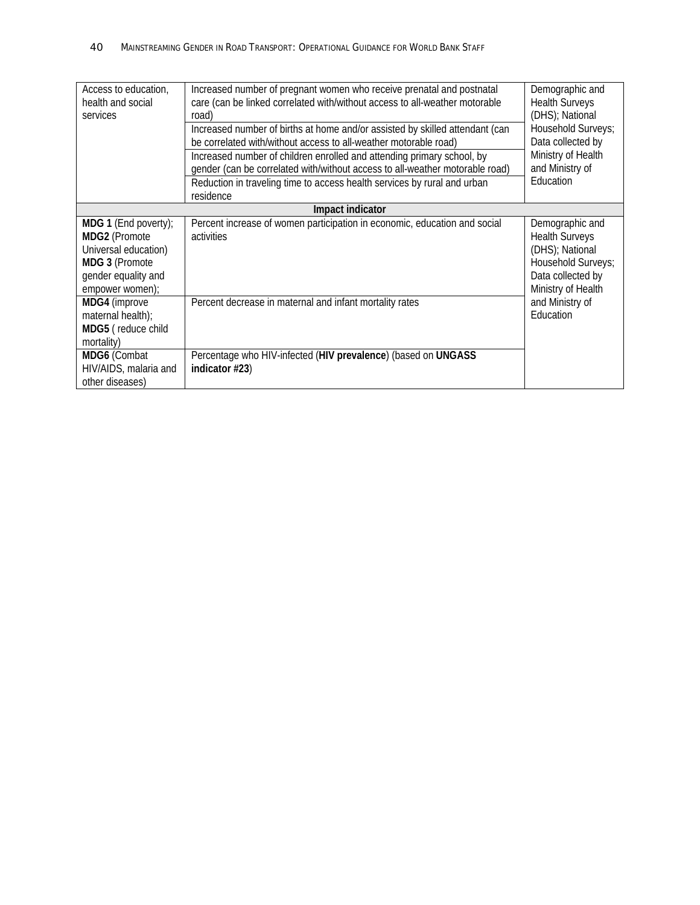| Access to education,<br>health and social<br>services                                                                     | Increased number of pregnant women who receive prenatal and postnatal<br>care (can be linked correlated with/without access to all-weather motorable<br>road)<br>Increased number of births at home and/or assisted by skilled attendant (can<br>be correlated with/without access to all-weather motorable road)<br>Increased number of children enrolled and attending primary school, by<br>gender (can be correlated with/without access to all-weather motorable road)<br>Reduction in traveling time to access health services by rural and urban | Demographic and<br><b>Health Surveys</b><br>(DHS); National<br>Household Surveys;<br>Data collected by<br>Ministry of Health<br>and Ministry of<br>Education |
|---------------------------------------------------------------------------------------------------------------------------|---------------------------------------------------------------------------------------------------------------------------------------------------------------------------------------------------------------------------------------------------------------------------------------------------------------------------------------------------------------------------------------------------------------------------------------------------------------------------------------------------------------------------------------------------------|--------------------------------------------------------------------------------------------------------------------------------------------------------------|
|                                                                                                                           | residence                                                                                                                                                                                                                                                                                                                                                                                                                                                                                                                                               |                                                                                                                                                              |
| Impact indicator                                                                                                          |                                                                                                                                                                                                                                                                                                                                                                                                                                                                                                                                                         |                                                                                                                                                              |
| MDG 1 (End poverty);<br>MDG2 (Promote<br>Universal education)<br>MDG 3 (Promote<br>gender equality and<br>empower women); | Percent increase of women participation in economic, education and social<br>activities                                                                                                                                                                                                                                                                                                                                                                                                                                                                 | Demographic and<br><b>Health Surveys</b><br>(DHS); National<br>Household Surveys;<br>Data collected by<br>Ministry of Health                                 |
| MDG4 (improve<br>maternal health);<br>MDG5 (reduce child<br>mortality)                                                    | Percent decrease in maternal and infant mortality rates                                                                                                                                                                                                                                                                                                                                                                                                                                                                                                 | and Ministry of<br>Education                                                                                                                                 |
| MDG6 (Combat<br>HIV/AIDS, malaria and<br>other diseases)                                                                  | Percentage who HIV-infected (HIV prevalence) (based on UNGASS<br>indicator #23)                                                                                                                                                                                                                                                                                                                                                                                                                                                                         |                                                                                                                                                              |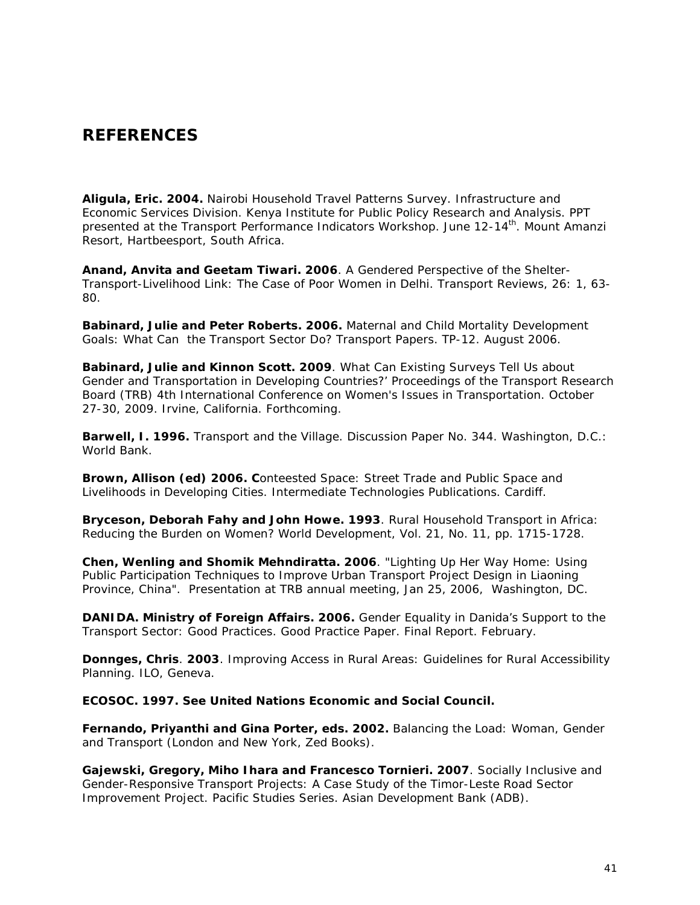### *REFERENCES*

**Aligula, Eric. 2004.** Nairobi Household Travel Patterns Survey. Infrastructure and Economic Services Division. Kenya Institute for Public Policy Research and Analysis. PPT presented at the Transport Performance Indicators Workshop. June 12-14<sup>th</sup>. Mount Amanzi Resort, Hartbeesport, South Africa.

**Anand, Anvita and Geetam Tiwari. 2006**. A Gendered Perspective of the Shelter-Transport-Livelihood Link: The Case of Poor Women in Delhi. Transport Reviews, 26: 1, 63- 80.

**Babinard, Julie and Peter Roberts. 2006.** Maternal and Child Mortality Development Goals: What Can the Transport Sector Do? Transport Papers. TP-12. August 2006.

**Babinard, Julie and Kinnon Scott. 2009**. What Can Existing Surveys Tell Us about Gender and Transportation in Developing Countries?' Proceedings of the Transport Research Board (TRB) 4th International Conference on Women's Issues in Transportation. October 27-30, 2009. Irvine, California. *Forthcoming*.

**Barwell, I. 1996.** Transport and the Village. Discussion Paper No. 344. Washington, D.C.: World Bank.

**Brown, Allison (ed) 2006. C**onteested Space: Street Trade and Public Space and Livelihoods in Developing Cities. Intermediate Technologies Publications. Cardiff.

**Bryceson, Deborah Fahy and John Howe. 1993**. Rural Household Transport in Africa: Reducing the Burden on Women? World Development, Vol. 21, No. 11, pp. 1715-1728.

**Chen, Wenling and Shomik Mehndiratta. 2006**. "Lighting Up Her Way Home: Using Public Participation Techniques to Improve Urban Transport Project Design in Liaoning Province, China". Presentation at TRB annual meeting, Jan 25, 2006, Washington, DC.

**DANIDA. Ministry of Foreign Affairs. 2006.** Gender Equality in Danida's Support to the Transport Sector: Good Practices. Good Practice Paper. Final Report. February.

**Donnges, Chris**. **2003**. Improving Access in Rural Areas: Guidelines for Rural Accessibility Planning. ILO, Geneva.

**ECOSOC. 1997. See United Nations Economic and Social Council.** 

**Fernando, Priyanthi and Gina Porter, eds. 2002.** Balancing the Load: Woman, Gender and Transport (London and New York, Zed Books).

**Gajewski, Gregory, Miho Ihara and Francesco Tornieri. 2007**. Socially Inclusive and Gender-Responsive Transport Projects: A Case Study of the Timor-Leste Road Sector Improvement Project. Pacific Studies Series. Asian Development Bank (ADB).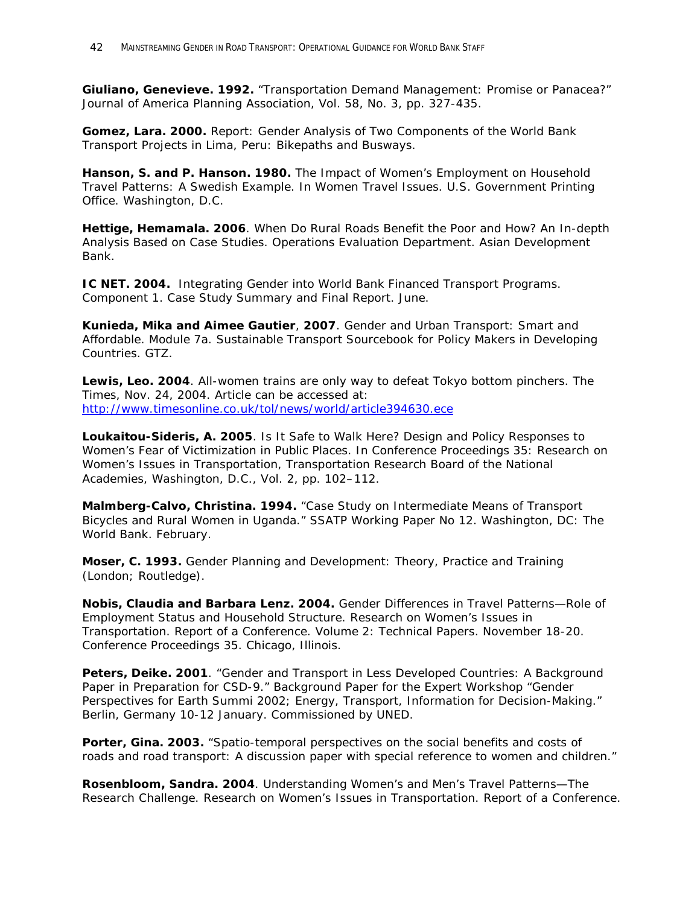**Giuliano, Genevieve. 1992.** "Transportation Demand Management: Promise or Panacea?" Journal of America Planning Association, Vol. 58, No. 3, pp. 327-435.

**Gomez, Lara. 2000.** Report: Gender Analysis of Two Components of the World Bank Transport Projects in Lima, Peru: Bikepaths and Busways.

**Hanson, S. and P. Hanson. 1980.** The Impact of Women's Employment on Household Travel Patterns: A Swedish Example. In Women Travel Issues. U.S. Government Printing Office. Washington, D.C.

**Hettige, Hemamala. 2006**. When Do Rural Roads Benefit the Poor and How? An In-depth Analysis Based on Case Studies. Operations Evaluation Department. Asian Development Bank.

**IC NET. 2004.** Integrating Gender into World Bank Financed Transport Programs. Component 1. Case Study Summary and Final Report. June.

**Kunieda, Mika and Aimee Gautier**, **2007**. Gender and Urban Transport: Smart and Affordable. Module 7a. Sustainable Transport Sourcebook for Policy Makers in Developing Countries. GTZ.

**Lewis, Leo. 2004**. All-women trains are only way to defeat Tokyo bottom pinchers. The Times, Nov. 24, 2004. Article can be accessed at: <http://www.timesonline.co.uk/tol/news/world/article394630.ece>

**Loukaitou-Sideris, A. 2005**. Is It Safe to Walk Here? Design and Policy Responses to Women's Fear of Victimization in Public Places. In Conference Proceedings 35: Research on Women's Issues in Transportation, Transportation Research Board of the National Academies, Washington, D.C., Vol. 2, pp. 102–112.

**Malmberg-Calvo, Christina. 1994.** "Case Study on Intermediate Means of Transport Bicycles and Rural Women in Uganda." SSATP Working Paper No 12. Washington, DC: The World Bank. February.

**Moser, C. 1993.** Gender Planning and Development: Theory, Practice and Training (London; Routledge).

**Nobis, Claudia and Barbara Lenz. 2004.** Gender Differences in Travel Patterns—Role of Employment Status and Household Structure. Research on Women's Issues in Transportation. Report of a Conference. Volume 2: Technical Papers. November 18-20. Conference Proceedings 35. Chicago, Illinois.

**Peters, Deike. 2001**. "Gender and Transport in Less Developed Countries: A Background Paper in Preparation for CSD-9." Background Paper for the Expert Workshop "Gender Perspectives for Earth Summi 2002; Energy, Transport, Information for Decision-Making." Berlin, Germany 10-12 January. Commissioned by UNED.

**Porter, Gina. 2003.** "Spatio-temporal perspectives on the social benefits and costs of roads and road transport: A discussion paper with special reference to women and children."

**Rosenbloom, Sandra. 2004**. Understanding Women's and Men's Travel Patterns—The Research Challenge. Research on Women's Issues in Transportation. Report of a Conference.